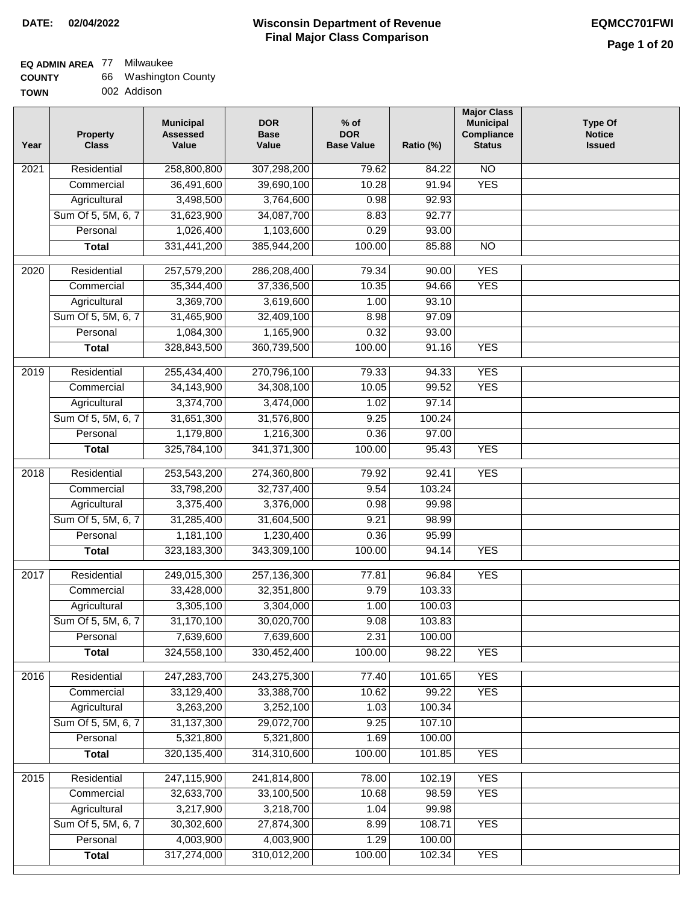### **Wisconsin Department of Revenue DATE: 02/04/2022 EQMCC701FWI Final Major Class Comparison**

| <b>COUNTY</b> | 66 Washington County |
|---------------|----------------------|
| TOWN          | 002 Addison          |

| Year              | <b>Property</b><br><b>Class</b> | <b>Municipal</b><br><b>Assessed</b><br>Value | <b>DOR</b><br><b>Base</b><br>Value | $%$ of<br><b>DOR</b><br><b>Base Value</b> | Ratio (%) | <b>Major Class</b><br><b>Municipal</b><br>Compliance<br><b>Status</b> | <b>Type Of</b><br><b>Notice</b><br><b>Issued</b> |
|-------------------|---------------------------------|----------------------------------------------|------------------------------------|-------------------------------------------|-----------|-----------------------------------------------------------------------|--------------------------------------------------|
| 2021              | Residential                     | 258,800,800                                  | 307,298,200                        | 79.62                                     | 84.22     | <b>NO</b>                                                             |                                                  |
|                   | Commercial                      | 36,491,600                                   | 39,690,100                         | 10.28                                     | 91.94     | <b>YES</b>                                                            |                                                  |
|                   | Agricultural                    | 3,498,500                                    | 3,764,600                          | 0.98                                      | 92.93     |                                                                       |                                                  |
|                   | Sum Of 5, 5M, 6, 7              | 31,623,900                                   | 34,087,700                         | 8.83                                      | 92.77     |                                                                       |                                                  |
|                   | Personal                        | 1,026,400                                    | 1,103,600                          | 0.29                                      | 93.00     |                                                                       |                                                  |
|                   | <b>Total</b>                    | 331,441,200                                  | 385,944,200                        | 100.00                                    | 85.88     | $\overline{NO}$                                                       |                                                  |
| $\overline{2020}$ | Residential                     | 257,579,200                                  | 286,208,400                        | 79.34                                     | 90.00     | <b>YES</b>                                                            |                                                  |
|                   | Commercial                      | 35,344,400                                   | 37,336,500                         | 10.35                                     | 94.66     | <b>YES</b>                                                            |                                                  |
|                   | Agricultural                    | 3,369,700                                    | 3,619,600                          | 1.00                                      | 93.10     |                                                                       |                                                  |
|                   | Sum Of 5, 5M, 6, 7              | 31,465,900                                   | 32,409,100                         | 8.98                                      | 97.09     |                                                                       |                                                  |
|                   | Personal                        | 1,084,300                                    | 1,165,900                          | 0.32                                      | 93.00     |                                                                       |                                                  |
|                   | <b>Total</b>                    | 328,843,500                                  | 360,739,500                        | 100.00                                    | 91.16     | <b>YES</b>                                                            |                                                  |
|                   |                                 |                                              |                                    |                                           |           |                                                                       |                                                  |
| $\frac{1}{2019}$  | Residential                     | 255,434,400                                  | 270,796,100                        | 79.33                                     | 94.33     | <b>YES</b>                                                            |                                                  |
|                   | Commercial                      | 34,143,900                                   | 34,308,100                         | 10.05                                     | 99.52     | <b>YES</b>                                                            |                                                  |
|                   | Agricultural                    | 3,374,700                                    | 3,474,000                          | 1.02                                      | 97.14     |                                                                       |                                                  |
|                   | Sum Of 5, 5M, 6, 7              | 31,651,300                                   | 31,576,800                         | 9.25                                      | 100.24    |                                                                       |                                                  |
|                   | Personal                        | 1,179,800                                    | 1,216,300                          | 0.36                                      | 97.00     |                                                                       |                                                  |
|                   | <b>Total</b>                    | 325,784,100                                  | 341, 371, 300                      | 100.00                                    | 95.43     | <b>YES</b>                                                            |                                                  |
| 2018              | Residential                     | 253,543,200                                  | 274,360,800                        | 79.92                                     | 92.41     | <b>YES</b>                                                            |                                                  |
|                   | Commercial                      | 33,798,200                                   | 32,737,400                         | 9.54                                      | 103.24    |                                                                       |                                                  |
|                   | Agricultural                    | 3,375,400                                    | 3,376,000                          | 0.98                                      | 99.98     |                                                                       |                                                  |
|                   | Sum Of 5, 5M, 6, 7              | 31,285,400                                   | 31,604,500                         | 9.21                                      | 98.99     |                                                                       |                                                  |
|                   | Personal                        | 1,181,100                                    | 1,230,400                          | 0.36                                      | 95.99     |                                                                       |                                                  |
|                   | <b>Total</b>                    | 323,183,300                                  | 343,309,100                        | 100.00                                    | 94.14     | <b>YES</b>                                                            |                                                  |
| 2017              | Residential                     | 249,015,300                                  | 257,136,300                        | 77.81                                     | 96.84     | <b>YES</b>                                                            |                                                  |
|                   | Commercial                      | 33,428,000                                   | 32,351,800                         | 9.79                                      | 103.33    |                                                                       |                                                  |
|                   | Agricultural                    | 3,305,100                                    | 3,304,000                          | 1.00                                      | 100.03    |                                                                       |                                                  |
|                   | Sum Of 5, 5M, 6, 7              | 31,170,100                                   | 30,020,700                         | 9.08                                      | 103.83    |                                                                       |                                                  |
|                   | Personal                        | 7,639,600                                    | 7,639,600                          | 2.31                                      | 100.00    |                                                                       |                                                  |
|                   | <b>Total</b>                    | 324,558,100                                  | 330,452,400                        | 100.00                                    | 98.22     | <b>YES</b>                                                            |                                                  |
| 2016              | Residential                     | 247,283,700                                  | 243,275,300                        | 77.40                                     | 101.65    | <b>YES</b>                                                            |                                                  |
|                   | Commercial                      | 33,129,400                                   | 33,388,700                         | 10.62                                     | 99.22     | <b>YES</b>                                                            |                                                  |
|                   | Agricultural                    | 3,263,200                                    | 3,252,100                          | 1.03                                      | 100.34    |                                                                       |                                                  |
|                   | Sum Of 5, 5M, 6, 7              | 31, 137, 300                                 | 29,072,700                         | 9.25                                      | 107.10    |                                                                       |                                                  |
|                   | Personal                        | 5,321,800                                    | 5,321,800                          | 1.69                                      | 100.00    |                                                                       |                                                  |
|                   | <b>Total</b>                    | 320, 135, 400                                | 314,310,600                        | 100.00                                    | 101.85    | <b>YES</b>                                                            |                                                  |
|                   |                                 |                                              |                                    |                                           |           |                                                                       |                                                  |
| 2015              | Residential                     | 247,115,900                                  | 241,814,800                        | 78.00                                     | 102.19    | <b>YES</b>                                                            |                                                  |
|                   | Commercial                      | 32,633,700                                   | 33,100,500                         | 10.68                                     | 98.59     | <b>YES</b>                                                            |                                                  |
|                   | Agricultural                    | 3,217,900                                    | 3,218,700                          | 1.04                                      | 99.98     |                                                                       |                                                  |
|                   | Sum Of 5, 5M, 6, 7              | 30,302,600                                   | 27,874,300                         | 8.99                                      | 108.71    | <b>YES</b>                                                            |                                                  |
|                   | Personal                        | 4,003,900                                    | 4,003,900                          | 1.29                                      | 100.00    |                                                                       |                                                  |
|                   | <b>Total</b>                    | 317,274,000                                  | 310,012,200                        | 100.00                                    | 102.34    | <b>YES</b>                                                            |                                                  |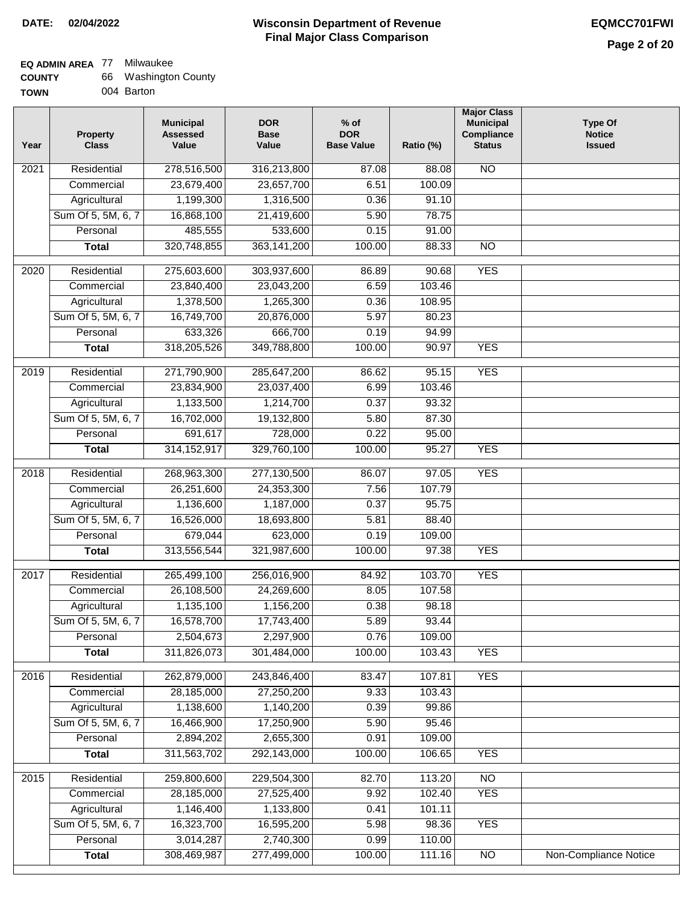| <b>COUNTY</b> | 66 Washington County |
|---------------|----------------------|
| <b>TOWN</b>   | 004 Barton           |

| Year | <b>Property</b><br><b>Class</b> | <b>Municipal</b><br><b>Assessed</b><br>Value | <b>DOR</b><br><b>Base</b><br>Value | $%$ of<br><b>DOR</b><br><b>Base Value</b> | Ratio (%) | <b>Major Class</b><br><b>Municipal</b><br>Compliance<br><b>Status</b> | <b>Type Of</b><br><b>Notice</b><br><b>Issued</b> |
|------|---------------------------------|----------------------------------------------|------------------------------------|-------------------------------------------|-----------|-----------------------------------------------------------------------|--------------------------------------------------|
| 2021 | Residential                     | 278,516,500                                  | 316,213,800                        | 87.08                                     | 88.08     | <b>NO</b>                                                             |                                                  |
|      | Commercial                      | 23,679,400                                   | 23,657,700                         | 6.51                                      | 100.09    |                                                                       |                                                  |
|      | Agricultural                    | 1,199,300                                    | 1,316,500                          | 0.36                                      | 91.10     |                                                                       |                                                  |
|      | Sum Of 5, 5M, 6, 7              | 16,868,100                                   | 21,419,600                         | 5.90                                      | 78.75     |                                                                       |                                                  |
|      | Personal                        | 485,555                                      | 533,600                            | 0.15                                      | 91.00     |                                                                       |                                                  |
|      | <b>Total</b>                    | 320,748,855                                  | 363, 141, 200                      | 100.00                                    | 88.33     | $\overline{NO}$                                                       |                                                  |
| 2020 | Residential                     | 275,603,600                                  | 303,937,600                        | 86.89                                     | 90.68     | <b>YES</b>                                                            |                                                  |
|      | Commercial                      | 23,840,400                                   | 23,043,200                         | 6.59                                      | 103.46    |                                                                       |                                                  |
|      | Agricultural                    | 1,378,500                                    | 1,265,300                          | 0.36                                      | 108.95    |                                                                       |                                                  |
|      | Sum Of 5, 5M, 6, 7              | 16,749,700                                   | 20,876,000                         | 5.97                                      | 80.23     |                                                                       |                                                  |
|      | Personal                        | 633,326                                      | 666,700                            | 0.19                                      | 94.99     |                                                                       |                                                  |
|      | Total                           | 318,205,526                                  | 349,788,800                        | 100.00                                    | 90.97     | <b>YES</b>                                                            |                                                  |
|      |                                 |                                              |                                    |                                           |           |                                                                       |                                                  |
| 2019 | Residential                     | 271,790,900                                  | 285,647,200                        | 86.62                                     | 95.15     | <b>YES</b>                                                            |                                                  |
|      | Commercial                      | 23,834,900                                   | 23,037,400                         | 6.99                                      | 103.46    |                                                                       |                                                  |
|      | Agricultural                    | 1,133,500                                    | 1,214,700                          | 0.37                                      | 93.32     |                                                                       |                                                  |
|      | Sum Of 5, 5M, 6, 7              | 16,702,000                                   | 19,132,800                         | 5.80                                      | 87.30     |                                                                       |                                                  |
|      | Personal                        | 691,617                                      | 728,000                            | 0.22                                      | 95.00     |                                                                       |                                                  |
|      | <b>Total</b>                    | 314, 152, 917                                | 329,760,100                        | 100.00                                    | 95.27     | <b>YES</b>                                                            |                                                  |
| 2018 | Residential                     | 268,963,300                                  | 277,130,500                        | 86.07                                     | 97.05     | <b>YES</b>                                                            |                                                  |
|      | Commercial                      | 26,251,600                                   | 24,353,300                         | 7.56                                      | 107.79    |                                                                       |                                                  |
|      | Agricultural                    | 1,136,600                                    | 1,187,000                          | 0.37                                      | 95.75     |                                                                       |                                                  |
|      | Sum Of 5, 5M, 6, 7              | 16,526,000                                   | 18,693,800                         | 5.81                                      | 88.40     |                                                                       |                                                  |
|      | Personal                        | 679,044                                      | 623,000                            | 0.19                                      | 109.00    |                                                                       |                                                  |
|      | <b>Total</b>                    | 313,556,544                                  | 321,987,600                        | 100.00                                    | 97.38     | <b>YES</b>                                                            |                                                  |
| 2017 | Residential                     | 265,499,100                                  | 256,016,900                        | 84.92                                     | 103.70    | <b>YES</b>                                                            |                                                  |
|      | Commercial                      | 26,108,500                                   | 24,269,600                         | 8.05                                      | 107.58    |                                                                       |                                                  |
|      | Agricultural                    | 1,135,100                                    | 1,156,200                          | 0.38                                      | 98.18     |                                                                       |                                                  |
|      | Sum Of 5, 5M, 6, 7              | 16,578,700                                   | 17,743,400                         | 5.89                                      | 93.44     |                                                                       |                                                  |
|      | Personal                        | 2,504,673                                    | 2,297,900                          | 0.76                                      | 109.00    |                                                                       |                                                  |
|      | <b>Total</b>                    | 311,826,073                                  | 301,484,000                        | 100.00                                    | 103.43    | <b>YES</b>                                                            |                                                  |
| 2016 | Residential                     | 262,879,000                                  | 243,846,400                        | 83.47                                     | 107.81    | <b>YES</b>                                                            |                                                  |
|      | Commercial                      | 28,185,000                                   | 27,250,200                         | 9.33                                      | 103.43    |                                                                       |                                                  |
|      | Agricultural                    | 1,138,600                                    | 1,140,200                          | 0.39                                      | 99.86     |                                                                       |                                                  |
|      | Sum Of 5, 5M, 6, 7              | 16,466,900                                   | 17,250,900                         | 5.90                                      | 95.46     |                                                                       |                                                  |
|      | Personal                        | 2,894,202                                    | 2,655,300                          | 0.91                                      | 109.00    |                                                                       |                                                  |
|      | <b>Total</b>                    | 311,563,702                                  | 292,143,000                        | 100.00                                    | 106.65    | <b>YES</b>                                                            |                                                  |
| 2015 | Residential                     | 259,800,600                                  | 229,504,300                        | 82.70                                     | 113.20    | $\overline{NO}$                                                       |                                                  |
|      | Commercial                      | 28,185,000                                   | 27,525,400                         | 9.92                                      | 102.40    | <b>YES</b>                                                            |                                                  |
|      | Agricultural                    | 1,146,400                                    | 1,133,800                          | 0.41                                      | 101.11    |                                                                       |                                                  |
|      | Sum Of 5, 5M, 6, 7              | 16,323,700                                   | 16,595,200                         | 5.98                                      | 98.36     | <b>YES</b>                                                            |                                                  |
|      | Personal                        | 3,014,287                                    | 2,740,300                          | 0.99                                      | 110.00    |                                                                       |                                                  |
|      | <b>Total</b>                    | 308,469,987                                  | 277,499,000                        | 100.00                                    | 111.16    | N <sub>O</sub>                                                        | <b>Non-Compliance Notice</b>                     |
|      |                                 |                                              |                                    |                                           |           |                                                                       |                                                  |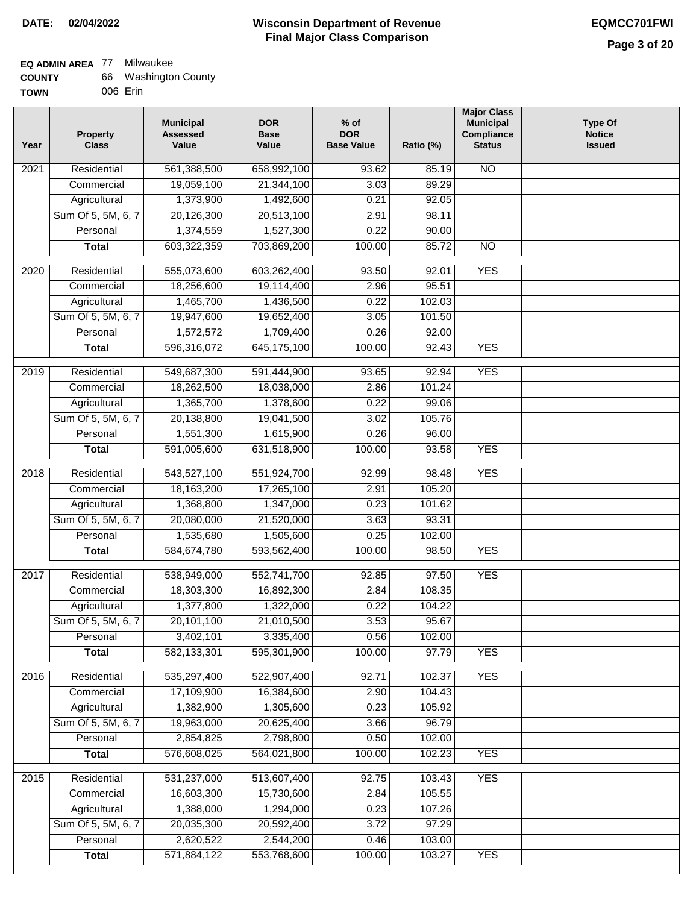### **Wisconsin Department of Revenue Final Major Class Comparison DATE: 02/04/2022 EQMCC701FWI**

### **EQ ADMIN AREA** 77 Milwaukee  $\overline{a}$

| <b>COUNTY</b> | 66 Washington County |
|---------------|----------------------|
| TOWN          | 006 Erin             |

| Year             | <b>Property</b><br><b>Class</b>    | <b>Municipal</b><br><b>Assessed</b><br>Value | <b>DOR</b><br><b>Base</b><br>Value | $%$ of<br><b>DOR</b><br><b>Base Value</b> | Ratio (%) | <b>Major Class</b><br><b>Municipal</b><br>Compliance<br><b>Status</b> | <b>Type Of</b><br><b>Notice</b><br><b>Issued</b> |
|------------------|------------------------------------|----------------------------------------------|------------------------------------|-------------------------------------------|-----------|-----------------------------------------------------------------------|--------------------------------------------------|
| 2021             | Residential                        | 561,388,500                                  | 658,992,100                        | 93.62                                     | 85.19     | $\overline{NO}$                                                       |                                                  |
|                  | Commercial                         | 19,059,100                                   | 21,344,100                         | 3.03                                      | 89.29     |                                                                       |                                                  |
|                  | Agricultural                       | 1,373,900                                    | 1,492,600                          | 0.21                                      | 92.05     |                                                                       |                                                  |
|                  | Sum Of 5, 5M, 6, 7                 | 20,126,300                                   | 20,513,100                         | 2.91                                      | 98.11     |                                                                       |                                                  |
|                  | Personal                           | 1,374,559                                    | 1,527,300                          | 0.22                                      | 90.00     |                                                                       |                                                  |
|                  | <b>Total</b>                       | 603,322,359                                  | 703,869,200                        | 100.00                                    | 85.72     | <b>NO</b>                                                             |                                                  |
|                  | Residential                        |                                              | 603,262,400                        |                                           | 92.01     | <b>YES</b>                                                            |                                                  |
| 2020             | Commercial                         | 555,073,600<br>18,256,600                    | 19,114,400                         | 93.50<br>2.96                             | 95.51     |                                                                       |                                                  |
|                  |                                    | 1,465,700                                    | 1,436,500                          | 0.22                                      | 102.03    |                                                                       |                                                  |
|                  | Agricultural<br>Sum Of 5, 5M, 6, 7 | 19,947,600                                   | 19,652,400                         | 3.05                                      | 101.50    |                                                                       |                                                  |
|                  | Personal                           | 1,572,572                                    | 1,709,400                          | 0.26                                      | 92.00     |                                                                       |                                                  |
|                  | <b>Total</b>                       | 596,316,072                                  | 645,175,100                        | 100.00                                    | 92.43     | <b>YES</b>                                                            |                                                  |
|                  |                                    |                                              |                                    |                                           |           |                                                                       |                                                  |
| $\frac{1}{2019}$ | Residential                        | 549,687,300                                  | 591,444,900                        | 93.65                                     | 92.94     | <b>YES</b>                                                            |                                                  |
|                  | Commercial                         | 18,262,500                                   | 18,038,000                         | 2.86                                      | 101.24    |                                                                       |                                                  |
|                  | Agricultural                       | 1,365,700                                    | 1,378,600                          | 0.22                                      | 99.06     |                                                                       |                                                  |
|                  | Sum Of 5, 5M, 6, 7                 | 20,138,800                                   | 19,041,500                         | 3.02                                      | 105.76    |                                                                       |                                                  |
|                  | Personal                           | 1,551,300                                    | 1,615,900                          | 0.26                                      | 96.00     |                                                                       |                                                  |
|                  | <b>Total</b>                       | 591,005,600                                  | 631,518,900                        | 100.00                                    | 93.58     | <b>YES</b>                                                            |                                                  |
| 2018             | Residential                        | 543,527,100                                  | 551,924,700                        | 92.99                                     | 98.48     | <b>YES</b>                                                            |                                                  |
|                  | Commercial                         | 18,163,200                                   | 17,265,100                         | 2.91                                      | 105.20    |                                                                       |                                                  |
|                  | Agricultural                       | 1,368,800                                    | 1,347,000                          | 0.23                                      | 101.62    |                                                                       |                                                  |
|                  | Sum Of 5, 5M, 6, 7                 | 20,080,000                                   | 21,520,000                         | 3.63                                      | 93.31     |                                                                       |                                                  |
|                  | Personal                           | 1,535,680                                    | 1,505,600                          | 0.25                                      | 102.00    |                                                                       |                                                  |
|                  | <b>Total</b>                       | 584,674,780                                  | 593,562,400                        | 100.00                                    | 98.50     | <b>YES</b>                                                            |                                                  |
| 2017             | Residential                        | 538,949,000                                  | 552,741,700                        | 92.85                                     | 97.50     | <b>YES</b>                                                            |                                                  |
|                  | Commercial                         | 18,303,300                                   | 16,892,300                         | 2.84                                      | 108.35    |                                                                       |                                                  |
|                  | Agricultural                       | 1,377,800                                    | 1,322,000                          | 0.22                                      | 104.22    |                                                                       |                                                  |
|                  | Sum Of 5, 5M, 6, 7                 | 20,101,100                                   | 21,010,500                         | 3.53                                      | 95.67     |                                                                       |                                                  |
|                  | Personal                           | 3,402,101                                    | 3,335,400                          | 0.56                                      | 102.00    |                                                                       |                                                  |
|                  | <b>Total</b>                       | 582,133,301                                  | 595,301,900                        | 100.00                                    | 97.79     | <b>YES</b>                                                            |                                                  |
|                  |                                    |                                              |                                    |                                           |           |                                                                       |                                                  |
| 2016             | Residential                        | 535,297,400                                  | 522,907,400                        | 92.71                                     | 102.37    | <b>YES</b>                                                            |                                                  |
|                  | Commercial                         | 17,109,900                                   | 16,384,600                         | 2.90                                      | 104.43    |                                                                       |                                                  |
|                  | Agricultural                       | 1,382,900                                    | 1,305,600                          | 0.23                                      | 105.92    |                                                                       |                                                  |
|                  | Sum Of 5, 5M, 6, 7                 | 19,963,000                                   | 20,625,400                         | 3.66                                      | 96.79     |                                                                       |                                                  |
|                  | Personal                           | 2,854,825                                    | 2,798,800                          | 0.50                                      | 102.00    |                                                                       |                                                  |
|                  | <b>Total</b>                       | 576,608,025                                  | 564,021,800                        | 100.00                                    | 102.23    | <b>YES</b>                                                            |                                                  |
| 2015             | Residential                        | 531,237,000                                  | 513,607,400                        | 92.75                                     | 103.43    | <b>YES</b>                                                            |                                                  |
|                  | Commercial                         | 16,603,300                                   | 15,730,600                         | 2.84                                      | 105.55    |                                                                       |                                                  |
|                  | Agricultural                       | 1,388,000                                    | 1,294,000                          | 0.23                                      | 107.26    |                                                                       |                                                  |
|                  | Sum Of 5, 5M, 6, 7                 | 20,035,300                                   | 20,592,400                         | 3.72                                      | 97.29     |                                                                       |                                                  |
|                  | Personal                           | 2,620,522                                    | 2,544,200                          | 0.46                                      | 103.00    |                                                                       |                                                  |
|                  | <b>Total</b>                       | 571,884,122                                  | 553,768,600                        | 100.00                                    | 103.27    | <b>YES</b>                                                            |                                                  |
|                  |                                    |                                              |                                    |                                           |           |                                                                       |                                                  |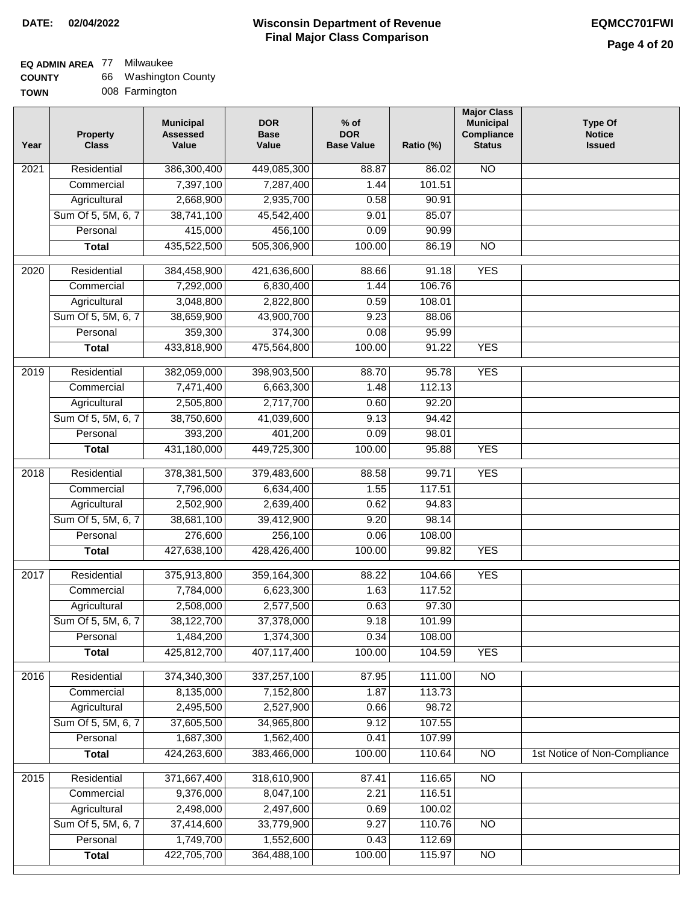### **EQ ADMIN AREA** 77 Milwaukee

| <b>COUNTY</b> | 66 | Washington County |
|---------------|----|-------------------|
| <b>TOWN</b>   |    | 008 Farmington    |

| Year              | <b>Property</b><br><b>Class</b> | <b>Municipal</b><br><b>Assessed</b><br>Value | <b>DOR</b><br><b>Base</b><br>Value | $%$ of<br><b>DOR</b><br><b>Base Value</b> | Ratio (%) | <b>Major Class</b><br><b>Municipal</b><br>Compliance<br><b>Status</b> | <b>Type Of</b><br><b>Notice</b><br><b>Issued</b> |
|-------------------|---------------------------------|----------------------------------------------|------------------------------------|-------------------------------------------|-----------|-----------------------------------------------------------------------|--------------------------------------------------|
| 2021              | Residential                     | 386,300,400                                  | 449,085,300                        | 88.87                                     | 86.02     | N <sub>O</sub>                                                        |                                                  |
|                   | Commercial                      | 7,397,100                                    | 7,287,400                          | 1.44                                      | 101.51    |                                                                       |                                                  |
|                   | Agricultural                    | 2,668,900                                    | 2,935,700                          | 0.58                                      | 90.91     |                                                                       |                                                  |
|                   | Sum Of 5, 5M, 6, 7              | 38,741,100                                   | 45,542,400                         | 9.01                                      | 85.07     |                                                                       |                                                  |
|                   | Personal                        | 415,000                                      | 456,100                            | 0.09                                      | 90.99     |                                                                       |                                                  |
|                   | <b>Total</b>                    | 435,522,500                                  | 505,306,900                        | 100.00                                    | 86.19     | <b>NO</b>                                                             |                                                  |
|                   |                                 |                                              |                                    |                                           |           |                                                                       |                                                  |
| $\overline{2020}$ | Residential                     | 384,458,900                                  | 421,636,600                        | 88.66                                     | 91.18     | <b>YES</b>                                                            |                                                  |
|                   | Commercial                      | 7,292,000                                    | 6,830,400                          | 1.44                                      | 106.76    |                                                                       |                                                  |
|                   | Agricultural                    | 3,048,800                                    | 2,822,800                          | 0.59                                      | 108.01    |                                                                       |                                                  |
|                   | Sum Of 5, 5M, 6, 7              | 38,659,900                                   | 43,900,700                         | 9.23                                      | 88.06     |                                                                       |                                                  |
|                   | Personal                        | 359,300                                      | 374,300                            | 0.08                                      | 95.99     |                                                                       |                                                  |
|                   | <b>Total</b>                    | 433,818,900                                  | 475,564,800                        | 100.00                                    | 91.22     | <b>YES</b>                                                            |                                                  |
| 2019              | Residential                     | 382,059,000                                  | 398,903,500                        | 88.70                                     | 95.78     | <b>YES</b>                                                            |                                                  |
|                   | Commercial                      | 7,471,400                                    | 6,663,300                          | 1.48                                      | 112.13    |                                                                       |                                                  |
|                   | Agricultural                    | 2,505,800                                    | 2,717,700                          | 0.60                                      | 92.20     |                                                                       |                                                  |
|                   | Sum Of 5, 5M, 6, 7              | 38,750,600                                   | 41,039,600                         | 9.13                                      | 94.42     |                                                                       |                                                  |
|                   | Personal                        | 393,200                                      | 401,200                            | 0.09                                      | 98.01     |                                                                       |                                                  |
|                   | <b>Total</b>                    | 431,180,000                                  | 449,725,300                        | 100.00                                    | 95.88     | <b>YES</b>                                                            |                                                  |
| 2018              | Residential                     | 378,381,500                                  | 379,483,600                        | 88.58                                     | 99.71     | <b>YES</b>                                                            |                                                  |
|                   | Commercial                      | 7,796,000                                    | 6,634,400                          | 1.55                                      | 117.51    |                                                                       |                                                  |
|                   | Agricultural                    | 2,502,900                                    | 2,639,400                          | 0.62                                      | 94.83     |                                                                       |                                                  |
|                   | Sum Of 5, 5M, 6, 7              | 38,681,100                                   | 39,412,900                         | 9.20                                      | 98.14     |                                                                       |                                                  |
|                   | Personal                        | 276,600                                      | 256,100                            | 0.06                                      | 108.00    |                                                                       |                                                  |
|                   | <b>Total</b>                    | 427,638,100                                  | 428,426,400                        | 100.00                                    | 99.82     | <b>YES</b>                                                            |                                                  |
| 2017              | Residential                     | 375,913,800                                  | 359,164,300                        | 88.22                                     | 104.66    | <b>YES</b>                                                            |                                                  |
|                   | Commercial                      | 7,784,000                                    | 6,623,300                          | 1.63                                      | 117.52    |                                                                       |                                                  |
|                   | Agricultural                    | 2,508,000                                    | 2,577,500                          | 0.63                                      | 97.30     |                                                                       |                                                  |
|                   | Sum Of 5, 5M, 6, 7              | 38,122,700                                   | 37,378,000                         | 9.18                                      | 101.99    |                                                                       |                                                  |
|                   | Personal                        | 1,484,200                                    | 1,374,300                          | 0.34                                      | 108.00    |                                                                       |                                                  |
|                   | <b>Total</b>                    | 425,812,700                                  | 407,117,400                        | 100.00                                    | 104.59    | <b>YES</b>                                                            |                                                  |
| 2016              | Residential                     | 374,340,300                                  | 337,257,100                        | 87.95                                     | 111.00    | N <sub>O</sub>                                                        |                                                  |
|                   | Commercial                      | 8,135,000                                    | 7,152,800                          | 1.87                                      | 113.73    |                                                                       |                                                  |
|                   | Agricultural                    | 2,495,500                                    | 2,527,900                          | 0.66                                      | 98.72     |                                                                       |                                                  |
|                   | Sum Of 5, 5M, 6, 7              | 37,605,500                                   | 34,965,800                         | 9.12                                      | 107.55    |                                                                       |                                                  |
|                   | Personal                        | 1,687,300                                    | 1,562,400                          | 0.41                                      | 107.99    |                                                                       |                                                  |
|                   | <b>Total</b>                    | 424,263,600                                  | 383,466,000                        | 100.00                                    | 110.64    | <b>NO</b>                                                             | 1st Notice of Non-Compliance                     |
| 2015              | Residential                     | 371,667,400                                  | 318,610,900                        | 87.41                                     | 116.65    | $\overline{NO}$                                                       |                                                  |
|                   | Commercial                      | 9,376,000                                    | 8,047,100                          | 2.21                                      | 116.51    |                                                                       |                                                  |
|                   | Agricultural                    | 2,498,000                                    | 2,497,600                          | 0.69                                      | 100.02    |                                                                       |                                                  |
|                   | Sum Of 5, 5M, 6, 7              | 37,414,600                                   | 33,779,900                         | 9.27                                      | 110.76    | $\overline{NO}$                                                       |                                                  |
|                   | Personal                        | 1,749,700                                    | 1,552,600                          | 0.43                                      | 112.69    |                                                                       |                                                  |
|                   | <b>Total</b>                    | 422,705,700                                  | 364,488,100                        | 100.00                                    | 115.97    | NO                                                                    |                                                  |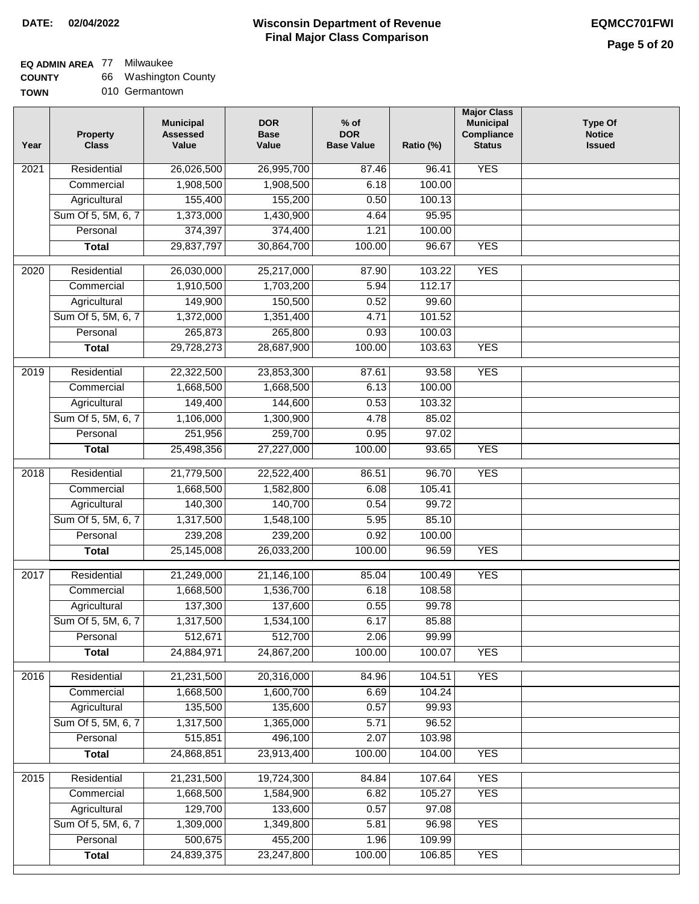| <b>COUNTY</b> | 66 Washington County |
|---------------|----------------------|
|---------------|----------------------|

| - - - - - - - |                |
|---------------|----------------|
| <b>TOWN</b>   | 010 Germantown |

| Year             | <b>Property</b><br><b>Class</b> | <b>Municipal</b><br><b>Assessed</b><br>Value | <b>DOR</b><br><b>Base</b><br>Value | $%$ of<br><b>DOR</b><br><b>Base Value</b> | Ratio (%) | <b>Major Class</b><br><b>Municipal</b><br>Compliance<br><b>Status</b> | <b>Type Of</b><br><b>Notice</b><br><b>Issued</b> |
|------------------|---------------------------------|----------------------------------------------|------------------------------------|-------------------------------------------|-----------|-----------------------------------------------------------------------|--------------------------------------------------|
| 2021             | Residential                     | 26,026,500                                   | 26,995,700                         | 87.46                                     | 96.41     | <b>YES</b>                                                            |                                                  |
|                  | Commercial                      | 1,908,500                                    | 1,908,500                          | 6.18                                      | 100.00    |                                                                       |                                                  |
|                  | Agricultural                    | 155,400                                      | 155,200                            | 0.50                                      | 100.13    |                                                                       |                                                  |
|                  | Sum Of 5, 5M, 6, 7              | 1,373,000                                    | 1,430,900                          | 4.64                                      | 95.95     |                                                                       |                                                  |
|                  | Personal                        | 374,397                                      | 374,400                            | 1.21                                      | 100.00    |                                                                       |                                                  |
|                  | <b>Total</b>                    | 29,837,797                                   | 30,864,700                         | 100.00                                    | 96.67     | <b>YES</b>                                                            |                                                  |
| $\frac{1}{2020}$ | Residential                     | 26,030,000                                   | 25,217,000                         | 87.90                                     | 103.22    | <b>YES</b>                                                            |                                                  |
|                  | Commercial                      | 1,910,500                                    | 1,703,200                          | 5.94                                      | 112.17    |                                                                       |                                                  |
|                  | Agricultural                    | 149,900                                      | 150,500                            | 0.52                                      | 99.60     |                                                                       |                                                  |
|                  | Sum Of 5, 5M, 6, 7              | 1,372,000                                    | 1,351,400                          | 4.71                                      | 101.52    |                                                                       |                                                  |
|                  | Personal                        | 265,873                                      | 265,800                            | 0.93                                      | 100.03    |                                                                       |                                                  |
|                  | <b>Total</b>                    | 29,728,273                                   | 28,687,900                         | 100.00                                    | 103.63    | <b>YES</b>                                                            |                                                  |
|                  |                                 |                                              |                                    |                                           |           |                                                                       |                                                  |
| 2019             | Residential                     | 22,322,500                                   | 23,853,300                         | 87.61                                     | 93.58     | <b>YES</b>                                                            |                                                  |
|                  | Commercial                      | 1,668,500                                    | 1,668,500                          | 6.13                                      | 100.00    |                                                                       |                                                  |
|                  | Agricultural                    | 149,400                                      | 144,600                            | 0.53                                      | 103.32    |                                                                       |                                                  |
|                  | Sum Of 5, 5M, 6, 7              | 1,106,000                                    | 1,300,900                          | 4.78                                      | 85.02     |                                                                       |                                                  |
|                  | Personal                        | 251,956                                      | 259,700                            | 0.95                                      | 97.02     |                                                                       |                                                  |
|                  | <b>Total</b>                    | 25,498,356                                   | 27,227,000                         | 100.00                                    | 93.65     | <b>YES</b>                                                            |                                                  |
| 2018             | Residential                     | 21,779,500                                   | 22,522,400                         | 86.51                                     | 96.70     | <b>YES</b>                                                            |                                                  |
|                  | Commercial                      | 1,668,500                                    | 1,582,800                          | 6.08                                      | 105.41    |                                                                       |                                                  |
|                  | Agricultural                    | 140,300                                      | 140,700                            | 0.54                                      | 99.72     |                                                                       |                                                  |
|                  | Sum Of 5, 5M, 6, 7              | 1,317,500                                    | 1,548,100                          | 5.95                                      | 85.10     |                                                                       |                                                  |
|                  | Personal                        | 239,208                                      | 239,200                            | 0.92                                      | 100.00    |                                                                       |                                                  |
|                  | <b>Total</b>                    | 25,145,008                                   | 26,033,200                         | 100.00                                    | 96.59     | <b>YES</b>                                                            |                                                  |
| 2017             | Residential                     | 21,249,000                                   | 21,146,100                         | 85.04                                     | 100.49    | <b>YES</b>                                                            |                                                  |
|                  | Commercial                      | 1,668,500                                    | 1,536,700                          | 6.18                                      | 108.58    |                                                                       |                                                  |
|                  | Agricultural                    | 137,300                                      | 137,600                            | 0.55                                      | 99.78     |                                                                       |                                                  |
|                  | Sum Of 5, 5M, 6, 7              | 1,317,500                                    | 1,534,100                          | 6.17                                      | 85.88     |                                                                       |                                                  |
|                  | Personal                        | 512,671                                      | 512,700                            | 2.06                                      | 99.99     |                                                                       |                                                  |
|                  | <b>Total</b>                    | 24,884,971                                   | 24,867,200                         | 100.00                                    | 100.07    | <b>YES</b>                                                            |                                                  |
|                  |                                 |                                              |                                    |                                           |           |                                                                       |                                                  |
| 2016             | Residential                     | 21,231,500                                   | 20,316,000                         | 84.96                                     | 104.51    | <b>YES</b>                                                            |                                                  |
|                  | Commercial                      | 1,668,500                                    | 1,600,700                          | 6.69                                      | 104.24    |                                                                       |                                                  |
|                  | Agricultural                    | 135,500                                      | 135,600                            | 0.57                                      | 99.93     |                                                                       |                                                  |
|                  | Sum Of 5, 5M, 6, 7              | 1,317,500                                    | 1,365,000                          | 5.71                                      | 96.52     |                                                                       |                                                  |
|                  | Personal                        | 515,851                                      | 496,100                            | 2.07                                      | 103.98    |                                                                       |                                                  |
|                  | <b>Total</b>                    | 24,868,851                                   | 23,913,400                         | 100.00                                    | 104.00    | <b>YES</b>                                                            |                                                  |
| 2015             | Residential                     | 21,231,500                                   | 19,724,300                         | 84.84                                     | 107.64    | <b>YES</b>                                                            |                                                  |
|                  | Commercial                      | 1,668,500                                    | 1,584,900                          | 6.82                                      | 105.27    | <b>YES</b>                                                            |                                                  |
|                  | Agricultural                    | 129,700                                      | 133,600                            | 0.57                                      | 97.08     |                                                                       |                                                  |
|                  | Sum Of 5, 5M, 6, 7              | 1,309,000                                    | 1,349,800                          | 5.81                                      | 96.98     | <b>YES</b>                                                            |                                                  |
|                  | Personal                        | 500,675                                      | 455,200                            | 1.96                                      | 109.99    |                                                                       |                                                  |
|                  | <b>Total</b>                    | 24,839,375                                   | 23,247,800                         | 100.00                                    | 106.85    | <b>YES</b>                                                            |                                                  |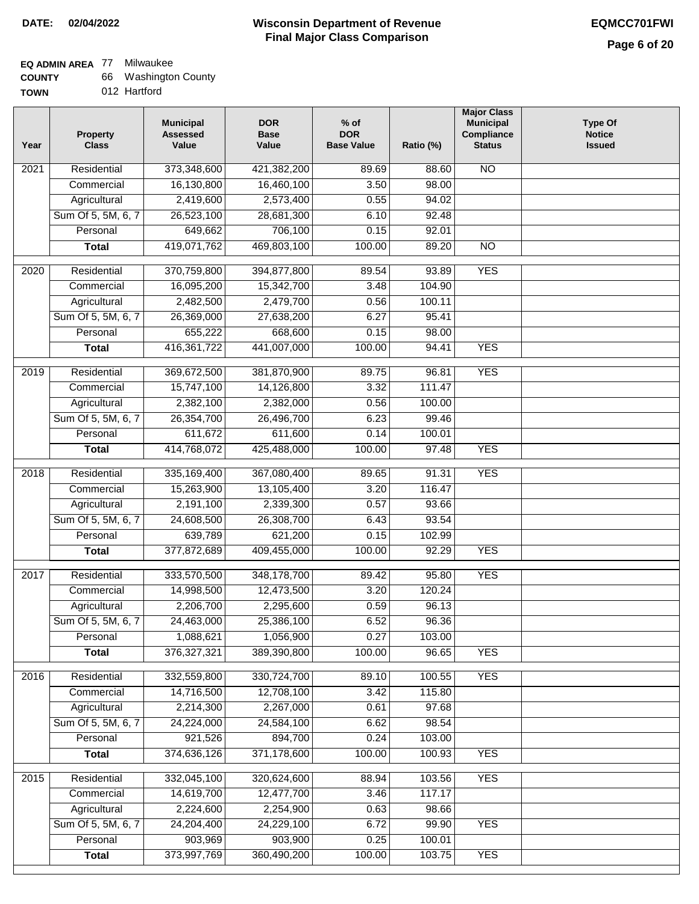### **EQ ADMIN AREA** 77 Milwaukee

| <b>COUNTY</b> |  | 66 Washington County |  |
|---------------|--|----------------------|--|
|---------------|--|----------------------|--|

**TOWN** 012 Hartford

| 373,348,600<br><b>NO</b><br>Residential<br>421,382,200<br>2021<br>89.69<br>88.60<br>16,130,800<br>3.50<br>98.00<br>Commercial<br>16,460,100<br>Agricultural<br>2,419,600<br>2,573,400<br>0.55<br>94.02<br>Sum Of 5, 5M, 6, 7<br>26,523,100<br>28,681,300<br>6.10<br>92.48<br>649,662<br>706,100<br>0.15<br>92.01<br>Personal<br>419,071,762<br>469,803,100<br>100.00<br>89.20<br>$\overline{NO}$<br><b>Total</b><br><b>YES</b><br>$\overline{2020}$<br>Residential<br>370,759,800<br>394,877,800<br>89.54<br>93.89<br>16,095,200<br>104.90<br>Commercial<br>15,342,700<br>3.48<br>2,482,500<br>2,479,700<br>0.56<br>Agricultural<br>100.11<br>Sum Of 5, 5M, 6, 7<br>26,369,000<br>27,638,200<br>6.27<br>95.41<br>655,222<br>668,600<br>0.15<br>98.00<br>Personal<br>416, 361, 722<br>441,007,000<br><b>YES</b><br>100.00<br>94.41<br><b>Total</b><br><b>YES</b><br>2019<br>Residential<br>369,672,500<br>381,870,900<br>89.75<br>96.81<br>15,747,100<br>3.32<br>111.47<br>Commercial<br>14,126,800<br>2,382,100<br>2,382,000<br>0.56<br>Agricultural<br>100.00<br>Sum Of 5, 5M, 6, 7<br>26,354,700<br>26,496,700<br>6.23<br>99.46<br>611,672<br>611,600<br>0.14<br>100.01<br>Personal<br>414,768,072<br>100.00<br><b>YES</b><br><b>Total</b><br>425,488,000<br>97.48<br><b>YES</b><br>Residential<br>335,169,400<br>367,080,400<br>91.31<br>2018<br>89.65<br>Commercial<br>15,263,900<br>13,105,400<br>3.20<br>116.47<br>2,191,100<br>2,339,300<br>Agricultural<br>0.57<br>93.66<br>Sum Of 5, 5M, 6, 7<br>24,608,500<br>26,308,700<br>93.54<br>6.43<br>639,789<br>Personal<br>621,200<br>0.15<br>102.99<br>377,872,689<br>409,455,000<br>100.00<br><b>YES</b><br>92.29<br><b>Total</b><br>2017<br>Residential<br>333,570,500<br><b>YES</b><br>348,178,700<br>89.42<br>95.80<br>Commercial<br>14,998,500<br>12,473,500<br>3.20<br>120.24<br>2,206,700<br>2,295,600<br>0.59<br>96.13<br>Agricultural<br>Sum Of 5, 5M, 6, 7<br>24,463,000<br>25,386,100<br>6.52<br>96.36<br>0.27<br>Personal<br>1,088,621<br>1,056,900<br>103.00<br>376, 327, 321<br>389,390,800<br>100.00<br>96.65<br><b>YES</b><br><b>Total</b><br><b>YES</b><br>Residential<br>332,559,800<br>330,724,700<br>2016<br>89.10<br>100.55<br>14,716,500<br>12,708,100<br>3.42<br>115.80<br>Commercial<br>2,267,000<br>2,214,300<br>0.61<br>Agricultural<br>97.68<br>Sum Of 5, 5M, 6, 7<br>24,224,000<br>24,584,100<br>6.62<br>98.54<br>921,526<br>894,700<br>0.24<br>103.00<br>Personal<br>374,636,126<br>371,178,600<br>100.00<br>100.93<br><b>YES</b><br><b>Total</b><br><b>YES</b><br>Residential<br>332,045,100<br>320,624,600<br>88.94<br>103.56<br>2015<br>14,619,700<br>12,477,700<br>3.46<br>117.17<br>Commercial | Year | <b>Property</b><br><b>Class</b> | <b>Municipal</b><br><b>Assessed</b><br>Value | <b>DOR</b><br><b>Base</b><br>Value | $%$ of<br><b>DOR</b><br><b>Base Value</b> | Ratio (%) | <b>Major Class</b><br><b>Municipal</b><br>Compliance<br><b>Status</b> | Type Of<br><b>Notice</b><br><b>Issued</b> |
|--------------------------------------------------------------------------------------------------------------------------------------------------------------------------------------------------------------------------------------------------------------------------------------------------------------------------------------------------------------------------------------------------------------------------------------------------------------------------------------------------------------------------------------------------------------------------------------------------------------------------------------------------------------------------------------------------------------------------------------------------------------------------------------------------------------------------------------------------------------------------------------------------------------------------------------------------------------------------------------------------------------------------------------------------------------------------------------------------------------------------------------------------------------------------------------------------------------------------------------------------------------------------------------------------------------------------------------------------------------------------------------------------------------------------------------------------------------------------------------------------------------------------------------------------------------------------------------------------------------------------------------------------------------------------------------------------------------------------------------------------------------------------------------------------------------------------------------------------------------------------------------------------------------------------------------------------------------------------------------------------------------------------------------------------------------------------------------------------------------------------------------------------------------------------------------------------------------------------------------------------------------------------------------------------------------------------------------------------------------------------------------------------------------------------------------------------------------------------------------------------------------------------------------------------------------------------------------------------------------------------------------------------------------------------------------|------|---------------------------------|----------------------------------------------|------------------------------------|-------------------------------------------|-----------|-----------------------------------------------------------------------|-------------------------------------------|
|                                                                                                                                                                                                                                                                                                                                                                                                                                                                                                                                                                                                                                                                                                                                                                                                                                                                                                                                                                                                                                                                                                                                                                                                                                                                                                                                                                                                                                                                                                                                                                                                                                                                                                                                                                                                                                                                                                                                                                                                                                                                                                                                                                                                                                                                                                                                                                                                                                                                                                                                                                                                                                                                                      |      |                                 |                                              |                                    |                                           |           |                                                                       |                                           |
|                                                                                                                                                                                                                                                                                                                                                                                                                                                                                                                                                                                                                                                                                                                                                                                                                                                                                                                                                                                                                                                                                                                                                                                                                                                                                                                                                                                                                                                                                                                                                                                                                                                                                                                                                                                                                                                                                                                                                                                                                                                                                                                                                                                                                                                                                                                                                                                                                                                                                                                                                                                                                                                                                      |      |                                 |                                              |                                    |                                           |           |                                                                       |                                           |
|                                                                                                                                                                                                                                                                                                                                                                                                                                                                                                                                                                                                                                                                                                                                                                                                                                                                                                                                                                                                                                                                                                                                                                                                                                                                                                                                                                                                                                                                                                                                                                                                                                                                                                                                                                                                                                                                                                                                                                                                                                                                                                                                                                                                                                                                                                                                                                                                                                                                                                                                                                                                                                                                                      |      |                                 |                                              |                                    |                                           |           |                                                                       |                                           |
|                                                                                                                                                                                                                                                                                                                                                                                                                                                                                                                                                                                                                                                                                                                                                                                                                                                                                                                                                                                                                                                                                                                                                                                                                                                                                                                                                                                                                                                                                                                                                                                                                                                                                                                                                                                                                                                                                                                                                                                                                                                                                                                                                                                                                                                                                                                                                                                                                                                                                                                                                                                                                                                                                      |      |                                 |                                              |                                    |                                           |           |                                                                       |                                           |
|                                                                                                                                                                                                                                                                                                                                                                                                                                                                                                                                                                                                                                                                                                                                                                                                                                                                                                                                                                                                                                                                                                                                                                                                                                                                                                                                                                                                                                                                                                                                                                                                                                                                                                                                                                                                                                                                                                                                                                                                                                                                                                                                                                                                                                                                                                                                                                                                                                                                                                                                                                                                                                                                                      |      |                                 |                                              |                                    |                                           |           |                                                                       |                                           |
|                                                                                                                                                                                                                                                                                                                                                                                                                                                                                                                                                                                                                                                                                                                                                                                                                                                                                                                                                                                                                                                                                                                                                                                                                                                                                                                                                                                                                                                                                                                                                                                                                                                                                                                                                                                                                                                                                                                                                                                                                                                                                                                                                                                                                                                                                                                                                                                                                                                                                                                                                                                                                                                                                      |      |                                 |                                              |                                    |                                           |           |                                                                       |                                           |
|                                                                                                                                                                                                                                                                                                                                                                                                                                                                                                                                                                                                                                                                                                                                                                                                                                                                                                                                                                                                                                                                                                                                                                                                                                                                                                                                                                                                                                                                                                                                                                                                                                                                                                                                                                                                                                                                                                                                                                                                                                                                                                                                                                                                                                                                                                                                                                                                                                                                                                                                                                                                                                                                                      |      |                                 |                                              |                                    |                                           |           |                                                                       |                                           |
|                                                                                                                                                                                                                                                                                                                                                                                                                                                                                                                                                                                                                                                                                                                                                                                                                                                                                                                                                                                                                                                                                                                                                                                                                                                                                                                                                                                                                                                                                                                                                                                                                                                                                                                                                                                                                                                                                                                                                                                                                                                                                                                                                                                                                                                                                                                                                                                                                                                                                                                                                                                                                                                                                      |      |                                 |                                              |                                    |                                           |           |                                                                       |                                           |
|                                                                                                                                                                                                                                                                                                                                                                                                                                                                                                                                                                                                                                                                                                                                                                                                                                                                                                                                                                                                                                                                                                                                                                                                                                                                                                                                                                                                                                                                                                                                                                                                                                                                                                                                                                                                                                                                                                                                                                                                                                                                                                                                                                                                                                                                                                                                                                                                                                                                                                                                                                                                                                                                                      |      |                                 |                                              |                                    |                                           |           |                                                                       |                                           |
|                                                                                                                                                                                                                                                                                                                                                                                                                                                                                                                                                                                                                                                                                                                                                                                                                                                                                                                                                                                                                                                                                                                                                                                                                                                                                                                                                                                                                                                                                                                                                                                                                                                                                                                                                                                                                                                                                                                                                                                                                                                                                                                                                                                                                                                                                                                                                                                                                                                                                                                                                                                                                                                                                      |      |                                 |                                              |                                    |                                           |           |                                                                       |                                           |
|                                                                                                                                                                                                                                                                                                                                                                                                                                                                                                                                                                                                                                                                                                                                                                                                                                                                                                                                                                                                                                                                                                                                                                                                                                                                                                                                                                                                                                                                                                                                                                                                                                                                                                                                                                                                                                                                                                                                                                                                                                                                                                                                                                                                                                                                                                                                                                                                                                                                                                                                                                                                                                                                                      |      |                                 |                                              |                                    |                                           |           |                                                                       |                                           |
|                                                                                                                                                                                                                                                                                                                                                                                                                                                                                                                                                                                                                                                                                                                                                                                                                                                                                                                                                                                                                                                                                                                                                                                                                                                                                                                                                                                                                                                                                                                                                                                                                                                                                                                                                                                                                                                                                                                                                                                                                                                                                                                                                                                                                                                                                                                                                                                                                                                                                                                                                                                                                                                                                      |      |                                 |                                              |                                    |                                           |           |                                                                       |                                           |
|                                                                                                                                                                                                                                                                                                                                                                                                                                                                                                                                                                                                                                                                                                                                                                                                                                                                                                                                                                                                                                                                                                                                                                                                                                                                                                                                                                                                                                                                                                                                                                                                                                                                                                                                                                                                                                                                                                                                                                                                                                                                                                                                                                                                                                                                                                                                                                                                                                                                                                                                                                                                                                                                                      |      |                                 |                                              |                                    |                                           |           |                                                                       |                                           |
|                                                                                                                                                                                                                                                                                                                                                                                                                                                                                                                                                                                                                                                                                                                                                                                                                                                                                                                                                                                                                                                                                                                                                                                                                                                                                                                                                                                                                                                                                                                                                                                                                                                                                                                                                                                                                                                                                                                                                                                                                                                                                                                                                                                                                                                                                                                                                                                                                                                                                                                                                                                                                                                                                      |      |                                 |                                              |                                    |                                           |           |                                                                       |                                           |
|                                                                                                                                                                                                                                                                                                                                                                                                                                                                                                                                                                                                                                                                                                                                                                                                                                                                                                                                                                                                                                                                                                                                                                                                                                                                                                                                                                                                                                                                                                                                                                                                                                                                                                                                                                                                                                                                                                                                                                                                                                                                                                                                                                                                                                                                                                                                                                                                                                                                                                                                                                                                                                                                                      |      |                                 |                                              |                                    |                                           |           |                                                                       |                                           |
|                                                                                                                                                                                                                                                                                                                                                                                                                                                                                                                                                                                                                                                                                                                                                                                                                                                                                                                                                                                                                                                                                                                                                                                                                                                                                                                                                                                                                                                                                                                                                                                                                                                                                                                                                                                                                                                                                                                                                                                                                                                                                                                                                                                                                                                                                                                                                                                                                                                                                                                                                                                                                                                                                      |      |                                 |                                              |                                    |                                           |           |                                                                       |                                           |
|                                                                                                                                                                                                                                                                                                                                                                                                                                                                                                                                                                                                                                                                                                                                                                                                                                                                                                                                                                                                                                                                                                                                                                                                                                                                                                                                                                                                                                                                                                                                                                                                                                                                                                                                                                                                                                                                                                                                                                                                                                                                                                                                                                                                                                                                                                                                                                                                                                                                                                                                                                                                                                                                                      |      |                                 |                                              |                                    |                                           |           |                                                                       |                                           |
|                                                                                                                                                                                                                                                                                                                                                                                                                                                                                                                                                                                                                                                                                                                                                                                                                                                                                                                                                                                                                                                                                                                                                                                                                                                                                                                                                                                                                                                                                                                                                                                                                                                                                                                                                                                                                                                                                                                                                                                                                                                                                                                                                                                                                                                                                                                                                                                                                                                                                                                                                                                                                                                                                      |      |                                 |                                              |                                    |                                           |           |                                                                       |                                           |
|                                                                                                                                                                                                                                                                                                                                                                                                                                                                                                                                                                                                                                                                                                                                                                                                                                                                                                                                                                                                                                                                                                                                                                                                                                                                                                                                                                                                                                                                                                                                                                                                                                                                                                                                                                                                                                                                                                                                                                                                                                                                                                                                                                                                                                                                                                                                                                                                                                                                                                                                                                                                                                                                                      |      |                                 |                                              |                                    |                                           |           |                                                                       |                                           |
|                                                                                                                                                                                                                                                                                                                                                                                                                                                                                                                                                                                                                                                                                                                                                                                                                                                                                                                                                                                                                                                                                                                                                                                                                                                                                                                                                                                                                                                                                                                                                                                                                                                                                                                                                                                                                                                                                                                                                                                                                                                                                                                                                                                                                                                                                                                                                                                                                                                                                                                                                                                                                                                                                      |      |                                 |                                              |                                    |                                           |           |                                                                       |                                           |
|                                                                                                                                                                                                                                                                                                                                                                                                                                                                                                                                                                                                                                                                                                                                                                                                                                                                                                                                                                                                                                                                                                                                                                                                                                                                                                                                                                                                                                                                                                                                                                                                                                                                                                                                                                                                                                                                                                                                                                                                                                                                                                                                                                                                                                                                                                                                                                                                                                                                                                                                                                                                                                                                                      |      |                                 |                                              |                                    |                                           |           |                                                                       |                                           |
|                                                                                                                                                                                                                                                                                                                                                                                                                                                                                                                                                                                                                                                                                                                                                                                                                                                                                                                                                                                                                                                                                                                                                                                                                                                                                                                                                                                                                                                                                                                                                                                                                                                                                                                                                                                                                                                                                                                                                                                                                                                                                                                                                                                                                                                                                                                                                                                                                                                                                                                                                                                                                                                                                      |      |                                 |                                              |                                    |                                           |           |                                                                       |                                           |
|                                                                                                                                                                                                                                                                                                                                                                                                                                                                                                                                                                                                                                                                                                                                                                                                                                                                                                                                                                                                                                                                                                                                                                                                                                                                                                                                                                                                                                                                                                                                                                                                                                                                                                                                                                                                                                                                                                                                                                                                                                                                                                                                                                                                                                                                                                                                                                                                                                                                                                                                                                                                                                                                                      |      |                                 |                                              |                                    |                                           |           |                                                                       |                                           |
|                                                                                                                                                                                                                                                                                                                                                                                                                                                                                                                                                                                                                                                                                                                                                                                                                                                                                                                                                                                                                                                                                                                                                                                                                                                                                                                                                                                                                                                                                                                                                                                                                                                                                                                                                                                                                                                                                                                                                                                                                                                                                                                                                                                                                                                                                                                                                                                                                                                                                                                                                                                                                                                                                      |      |                                 |                                              |                                    |                                           |           |                                                                       |                                           |
|                                                                                                                                                                                                                                                                                                                                                                                                                                                                                                                                                                                                                                                                                                                                                                                                                                                                                                                                                                                                                                                                                                                                                                                                                                                                                                                                                                                                                                                                                                                                                                                                                                                                                                                                                                                                                                                                                                                                                                                                                                                                                                                                                                                                                                                                                                                                                                                                                                                                                                                                                                                                                                                                                      |      |                                 |                                              |                                    |                                           |           |                                                                       |                                           |
|                                                                                                                                                                                                                                                                                                                                                                                                                                                                                                                                                                                                                                                                                                                                                                                                                                                                                                                                                                                                                                                                                                                                                                                                                                                                                                                                                                                                                                                                                                                                                                                                                                                                                                                                                                                                                                                                                                                                                                                                                                                                                                                                                                                                                                                                                                                                                                                                                                                                                                                                                                                                                                                                                      |      |                                 |                                              |                                    |                                           |           |                                                                       |                                           |
|                                                                                                                                                                                                                                                                                                                                                                                                                                                                                                                                                                                                                                                                                                                                                                                                                                                                                                                                                                                                                                                                                                                                                                                                                                                                                                                                                                                                                                                                                                                                                                                                                                                                                                                                                                                                                                                                                                                                                                                                                                                                                                                                                                                                                                                                                                                                                                                                                                                                                                                                                                                                                                                                                      |      |                                 |                                              |                                    |                                           |           |                                                                       |                                           |
|                                                                                                                                                                                                                                                                                                                                                                                                                                                                                                                                                                                                                                                                                                                                                                                                                                                                                                                                                                                                                                                                                                                                                                                                                                                                                                                                                                                                                                                                                                                                                                                                                                                                                                                                                                                                                                                                                                                                                                                                                                                                                                                                                                                                                                                                                                                                                                                                                                                                                                                                                                                                                                                                                      |      |                                 |                                              |                                    |                                           |           |                                                                       |                                           |
|                                                                                                                                                                                                                                                                                                                                                                                                                                                                                                                                                                                                                                                                                                                                                                                                                                                                                                                                                                                                                                                                                                                                                                                                                                                                                                                                                                                                                                                                                                                                                                                                                                                                                                                                                                                                                                                                                                                                                                                                                                                                                                                                                                                                                                                                                                                                                                                                                                                                                                                                                                                                                                                                                      |      |                                 |                                              |                                    |                                           |           |                                                                       |                                           |
|                                                                                                                                                                                                                                                                                                                                                                                                                                                                                                                                                                                                                                                                                                                                                                                                                                                                                                                                                                                                                                                                                                                                                                                                                                                                                                                                                                                                                                                                                                                                                                                                                                                                                                                                                                                                                                                                                                                                                                                                                                                                                                                                                                                                                                                                                                                                                                                                                                                                                                                                                                                                                                                                                      |      |                                 |                                              |                                    |                                           |           |                                                                       |                                           |
|                                                                                                                                                                                                                                                                                                                                                                                                                                                                                                                                                                                                                                                                                                                                                                                                                                                                                                                                                                                                                                                                                                                                                                                                                                                                                                                                                                                                                                                                                                                                                                                                                                                                                                                                                                                                                                                                                                                                                                                                                                                                                                                                                                                                                                                                                                                                                                                                                                                                                                                                                                                                                                                                                      |      |                                 |                                              |                                    |                                           |           |                                                                       |                                           |
|                                                                                                                                                                                                                                                                                                                                                                                                                                                                                                                                                                                                                                                                                                                                                                                                                                                                                                                                                                                                                                                                                                                                                                                                                                                                                                                                                                                                                                                                                                                                                                                                                                                                                                                                                                                                                                                                                                                                                                                                                                                                                                                                                                                                                                                                                                                                                                                                                                                                                                                                                                                                                                                                                      |      |                                 |                                              |                                    |                                           |           |                                                                       |                                           |
|                                                                                                                                                                                                                                                                                                                                                                                                                                                                                                                                                                                                                                                                                                                                                                                                                                                                                                                                                                                                                                                                                                                                                                                                                                                                                                                                                                                                                                                                                                                                                                                                                                                                                                                                                                                                                                                                                                                                                                                                                                                                                                                                                                                                                                                                                                                                                                                                                                                                                                                                                                                                                                                                                      |      |                                 |                                              |                                    |                                           |           |                                                                       |                                           |
|                                                                                                                                                                                                                                                                                                                                                                                                                                                                                                                                                                                                                                                                                                                                                                                                                                                                                                                                                                                                                                                                                                                                                                                                                                                                                                                                                                                                                                                                                                                                                                                                                                                                                                                                                                                                                                                                                                                                                                                                                                                                                                                                                                                                                                                                                                                                                                                                                                                                                                                                                                                                                                                                                      |      |                                 |                                              |                                    |                                           |           |                                                                       |                                           |
|                                                                                                                                                                                                                                                                                                                                                                                                                                                                                                                                                                                                                                                                                                                                                                                                                                                                                                                                                                                                                                                                                                                                                                                                                                                                                                                                                                                                                                                                                                                                                                                                                                                                                                                                                                                                                                                                                                                                                                                                                                                                                                                                                                                                                                                                                                                                                                                                                                                                                                                                                                                                                                                                                      |      |                                 |                                              |                                    |                                           |           |                                                                       |                                           |
|                                                                                                                                                                                                                                                                                                                                                                                                                                                                                                                                                                                                                                                                                                                                                                                                                                                                                                                                                                                                                                                                                                                                                                                                                                                                                                                                                                                                                                                                                                                                                                                                                                                                                                                                                                                                                                                                                                                                                                                                                                                                                                                                                                                                                                                                                                                                                                                                                                                                                                                                                                                                                                                                                      |      |                                 |                                              |                                    |                                           |           |                                                                       |                                           |
|                                                                                                                                                                                                                                                                                                                                                                                                                                                                                                                                                                                                                                                                                                                                                                                                                                                                                                                                                                                                                                                                                                                                                                                                                                                                                                                                                                                                                                                                                                                                                                                                                                                                                                                                                                                                                                                                                                                                                                                                                                                                                                                                                                                                                                                                                                                                                                                                                                                                                                                                                                                                                                                                                      |      |                                 |                                              |                                    |                                           |           |                                                                       |                                           |
|                                                                                                                                                                                                                                                                                                                                                                                                                                                                                                                                                                                                                                                                                                                                                                                                                                                                                                                                                                                                                                                                                                                                                                                                                                                                                                                                                                                                                                                                                                                                                                                                                                                                                                                                                                                                                                                                                                                                                                                                                                                                                                                                                                                                                                                                                                                                                                                                                                                                                                                                                                                                                                                                                      |      |                                 |                                              |                                    |                                           |           |                                                                       |                                           |
|                                                                                                                                                                                                                                                                                                                                                                                                                                                                                                                                                                                                                                                                                                                                                                                                                                                                                                                                                                                                                                                                                                                                                                                                                                                                                                                                                                                                                                                                                                                                                                                                                                                                                                                                                                                                                                                                                                                                                                                                                                                                                                                                                                                                                                                                                                                                                                                                                                                                                                                                                                                                                                                                                      |      |                                 |                                              |                                    |                                           |           |                                                                       |                                           |
|                                                                                                                                                                                                                                                                                                                                                                                                                                                                                                                                                                                                                                                                                                                                                                                                                                                                                                                                                                                                                                                                                                                                                                                                                                                                                                                                                                                                                                                                                                                                                                                                                                                                                                                                                                                                                                                                                                                                                                                                                                                                                                                                                                                                                                                                                                                                                                                                                                                                                                                                                                                                                                                                                      |      | Agricultural                    | 2,224,600                                    | 2,254,900                          | 0.63                                      | 98.66     |                                                                       |                                           |
| Sum Of 5, 5M, 6, 7<br>24,204,400<br>24,229,100<br>6.72<br>99.90<br><b>YES</b>                                                                                                                                                                                                                                                                                                                                                                                                                                                                                                                                                                                                                                                                                                                                                                                                                                                                                                                                                                                                                                                                                                                                                                                                                                                                                                                                                                                                                                                                                                                                                                                                                                                                                                                                                                                                                                                                                                                                                                                                                                                                                                                                                                                                                                                                                                                                                                                                                                                                                                                                                                                                        |      |                                 |                                              |                                    |                                           |           |                                                                       |                                           |
| 903,969<br>903,900<br>0.25<br>Personal<br>100.01                                                                                                                                                                                                                                                                                                                                                                                                                                                                                                                                                                                                                                                                                                                                                                                                                                                                                                                                                                                                                                                                                                                                                                                                                                                                                                                                                                                                                                                                                                                                                                                                                                                                                                                                                                                                                                                                                                                                                                                                                                                                                                                                                                                                                                                                                                                                                                                                                                                                                                                                                                                                                                     |      |                                 |                                              |                                    |                                           |           |                                                                       |                                           |
|                                                                                                                                                                                                                                                                                                                                                                                                                                                                                                                                                                                                                                                                                                                                                                                                                                                                                                                                                                                                                                                                                                                                                                                                                                                                                                                                                                                                                                                                                                                                                                                                                                                                                                                                                                                                                                                                                                                                                                                                                                                                                                                                                                                                                                                                                                                                                                                                                                                                                                                                                                                                                                                                                      |      | <b>Total</b>                    | 373,997,769                                  | 360,490,200                        | 100.00                                    | 103.75    | <b>YES</b>                                                            |                                           |
|                                                                                                                                                                                                                                                                                                                                                                                                                                                                                                                                                                                                                                                                                                                                                                                                                                                                                                                                                                                                                                                                                                                                                                                                                                                                                                                                                                                                                                                                                                                                                                                                                                                                                                                                                                                                                                                                                                                                                                                                                                                                                                                                                                                                                                                                                                                                                                                                                                                                                                                                                                                                                                                                                      |      |                                 |                                              |                                    |                                           |           |                                                                       |                                           |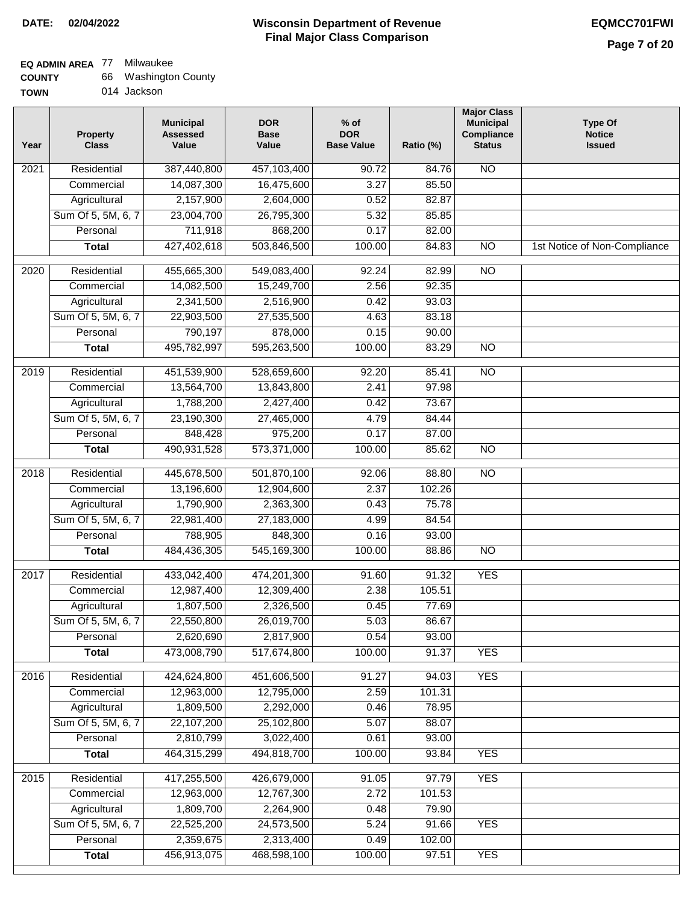### **EQ ADMIN AREA** 77 Milwaukee

| <b>COUNTY</b> | 66 Washington County |
|---------------|----------------------|
| <b>TOWN</b>   | 014 Jackson          |

014 Jackson

| Year              | <b>Property</b><br><b>Class</b> | <b>Municipal</b><br><b>Assessed</b><br>Value | <b>DOR</b><br><b>Base</b><br>Value | % of<br><b>DOR</b><br><b>Base Value</b> | Ratio (%) | <b>Major Class</b><br><b>Municipal</b><br>Compliance<br><b>Status</b> | <b>Type Of</b><br><b>Notice</b><br><b>Issued</b> |
|-------------------|---------------------------------|----------------------------------------------|------------------------------------|-----------------------------------------|-----------|-----------------------------------------------------------------------|--------------------------------------------------|
| $\overline{202}1$ | Residential                     | 387,440,800                                  | 457,103,400                        | 90.72                                   | 84.76     | $\overline{NO}$                                                       |                                                  |
|                   | Commercial                      | 14,087,300                                   | 16,475,600                         | 3.27                                    | 85.50     |                                                                       |                                                  |
|                   | Agricultural                    | 2,157,900                                    | 2,604,000                          | 0.52                                    | 82.87     |                                                                       |                                                  |
|                   | Sum Of 5, 5M, 6, 7              | 23,004,700                                   | 26,795,300                         | 5.32                                    | 85.85     |                                                                       |                                                  |
|                   | Personal                        | 711,918                                      | 868,200                            | 0.17                                    | 82.00     |                                                                       |                                                  |
|                   | <b>Total</b>                    | 427,402,618                                  | 503,846,500                        | 100.00                                  | 84.83     | $\overline{NO}$                                                       | 1st Notice of Non-Compliance                     |
| $\overline{2020}$ | Residential                     | 455,665,300                                  | 549,083,400                        | 92.24                                   | 82.99     | $\overline{NO}$                                                       |                                                  |
|                   | Commercial                      | 14,082,500                                   | 15,249,700                         | 2.56                                    | 92.35     |                                                                       |                                                  |
|                   | Agricultural                    | 2,341,500                                    | 2,516,900                          | 0.42                                    | 93.03     |                                                                       |                                                  |
|                   | Sum Of 5, 5M, 6, 7              | 22,903,500                                   | 27,535,500                         | 4.63                                    | 83.18     |                                                                       |                                                  |
|                   | Personal                        | 790,197                                      | 878,000                            | 0.15                                    | 90.00     |                                                                       |                                                  |
|                   | <b>Total</b>                    | 495,782,997                                  | 595,263,500                        | 100.00                                  | 83.29     | $\overline{NO}$                                                       |                                                  |
| 2019              | Residential                     | 451,539,900                                  | 528,659,600                        | 92.20                                   | 85.41     | <b>NO</b>                                                             |                                                  |
|                   | Commercial                      | 13,564,700                                   | 13,843,800                         | 2.41                                    | 97.98     |                                                                       |                                                  |
|                   | Agricultural                    | 1,788,200                                    | 2,427,400                          | 0.42                                    | 73.67     |                                                                       |                                                  |
|                   | Sum Of 5, 5M, 6, 7              | 23,190,300                                   | 27,465,000                         | 4.79                                    | 84.44     |                                                                       |                                                  |
|                   | Personal                        | 848,428                                      | 975,200                            | 0.17                                    | 87.00     |                                                                       |                                                  |
|                   | <b>Total</b>                    | 490,931,528                                  | 573,371,000                        | 100.00                                  | 85.62     | $\overline{NO}$                                                       |                                                  |
| 2018              | Residential                     | 445,678,500                                  | 501,870,100                        | 92.06                                   | 88.80     | $\overline{NO}$                                                       |                                                  |
|                   | Commercial                      | 13,196,600                                   | 12,904,600                         | 2.37                                    | 102.26    |                                                                       |                                                  |
|                   | Agricultural                    | 1,790,900                                    | 2,363,300                          | 0.43                                    | 75.78     |                                                                       |                                                  |
|                   | Sum Of 5, 5M, 6, 7              | 22,981,400                                   | 27,183,000                         | 4.99                                    | 84.54     |                                                                       |                                                  |
|                   | Personal                        | 788,905                                      | 848,300                            | 0.16                                    | 93.00     |                                                                       |                                                  |
|                   | <b>Total</b>                    | 484,436,305                                  | 545,169,300                        | 100.00                                  | 88.86     | <b>NO</b>                                                             |                                                  |
| 2017              | Residential                     | 433,042,400                                  | 474,201,300                        | 91.60                                   | 91.32     | <b>YES</b>                                                            |                                                  |
|                   | Commercial                      | 12,987,400                                   | 12,309,400                         | 2.38                                    | 105.51    |                                                                       |                                                  |
|                   | Agricultural                    | 1,807,500                                    | 2,326,500                          | 0.45                                    | 77.69     |                                                                       |                                                  |
|                   | Sum Of 5, 5M, 6, 7              | 22,550,800                                   | 26,019,700                         | 5.03                                    | 86.67     |                                                                       |                                                  |
|                   | Personal                        | 2,620,690                                    | 2,817,900                          | 0.54                                    | 93.00     |                                                                       |                                                  |
|                   | <b>Total</b>                    | 473,008,790                                  | 517,674,800                        | 100.00                                  | 91.37     | <b>YES</b>                                                            |                                                  |
| 2016              | Residential                     | 424,624,800                                  | 451,606,500                        | 91.27                                   | 94.03     | <b>YES</b>                                                            |                                                  |
|                   | Commercial                      | 12,963,000                                   | 12,795,000                         | 2.59                                    | 101.31    |                                                                       |                                                  |
|                   | Agricultural                    | 1,809,500                                    | 2,292,000                          | 0.46                                    | 78.95     |                                                                       |                                                  |
|                   | Sum Of 5, 5M, 6, 7              | 22,107,200                                   | 25,102,800                         | 5.07                                    | 88.07     |                                                                       |                                                  |
|                   | Personal                        | 2,810,799                                    | 3,022,400                          | 0.61                                    | 93.00     |                                                                       |                                                  |
|                   | <b>Total</b>                    | 464,315,299                                  | 494,818,700                        | 100.00                                  | 93.84     | <b>YES</b>                                                            |                                                  |
| 2015              | Residential                     | 417,255,500                                  | 426,679,000                        | 91.05                                   | 97.79     | <b>YES</b>                                                            |                                                  |
|                   | Commercial                      | 12,963,000                                   | 12,767,300                         | 2.72                                    | 101.53    |                                                                       |                                                  |
|                   | Agricultural                    | 1,809,700                                    | 2,264,900                          | 0.48                                    | 79.90     |                                                                       |                                                  |
|                   | Sum Of 5, 5M, 6, 7              | 22,525,200                                   | 24,573,500                         | 5.24                                    | 91.66     | <b>YES</b>                                                            |                                                  |
|                   | Personal                        | 2,359,675                                    | 2,313,400                          | 0.49                                    | 102.00    |                                                                       |                                                  |
|                   | <b>Total</b>                    | 456,913,075                                  | 468,598,100                        | 100.00                                  | 97.51     | <b>YES</b>                                                            |                                                  |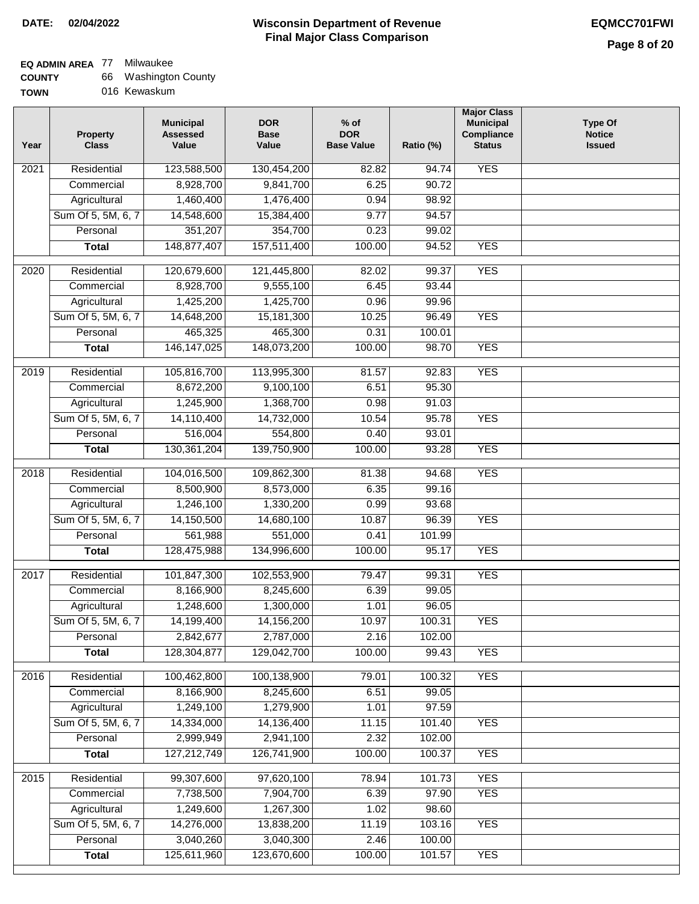**TOWN**

### **Wisconsin Department of Revenue DATE: 02/04/2022 EQMCC701FWI Final Major Class Comparison**

### **EQ ADMIN AREA** 77 Milwaukee

**Agricultural** Sum Of 5, 5M, 6, 7 **Personal Total**

 1,249,600 14,276,000 3,040,260 125,611,960

 1,267,300 13,838,200 3,040,300 123,670,600

 1.02 11.19 2.46 100.00

 98.60 103.16 100.00 101.57

YES

YES

| <b>COUNTY</b> | 66 Washington County |
|---------------|----------------------|
|---------------|----------------------|

016 Kewaskum

| Year              | <b>Property</b><br><b>Class</b> | <b>Municipal</b><br><b>Assessed</b><br>Value | <b>DOR</b><br><b>Base</b><br>Value | $%$ of<br><b>DOR</b><br><b>Base Value</b> | Ratio (%) | <b>Major Class</b><br><b>Municipal</b><br>Compliance<br><b>Status</b> | <b>Type Of</b><br><b>Notice</b><br><b>Issued</b> |
|-------------------|---------------------------------|----------------------------------------------|------------------------------------|-------------------------------------------|-----------|-----------------------------------------------------------------------|--------------------------------------------------|
| 2021              | Residential                     | 123,588,500                                  | 130,454,200                        | 82.82                                     | 94.74     | <b>YES</b>                                                            |                                                  |
|                   | Commercial                      | 8,928,700                                    | 9,841,700                          | 6.25                                      | 90.72     |                                                                       |                                                  |
|                   | Agricultural                    | 1,460,400                                    | 1,476,400                          | 0.94                                      | 98.92     |                                                                       |                                                  |
|                   | Sum Of 5, 5M, 6, 7              | 14,548,600                                   | 15,384,400                         | 9.77                                      | 94.57     |                                                                       |                                                  |
|                   | Personal                        | 351,207                                      | 354,700                            | 0.23                                      | 99.02     |                                                                       |                                                  |
|                   | <b>Total</b>                    | 148,877,407                                  | 157,511,400                        | 100.00                                    | 94.52     | <b>YES</b>                                                            |                                                  |
| $\overline{20}20$ | Residential                     | 120,679,600                                  | 121,445,800                        | 82.02                                     | 99.37     | <b>YES</b>                                                            |                                                  |
|                   | Commercial                      | 8,928,700                                    | 9,555,100                          | 6.45                                      | 93.44     |                                                                       |                                                  |
|                   | Agricultural                    | 1,425,200                                    | 1,425,700                          | 0.96                                      | 99.96     |                                                                       |                                                  |
|                   | Sum Of 5, 5M, 6, 7              | 14,648,200                                   | 15,181,300                         | 10.25                                     | 96.49     | <b>YES</b>                                                            |                                                  |
|                   | Personal                        | 465,325                                      | 465,300                            | 0.31                                      | 100.01    |                                                                       |                                                  |
|                   | <b>Total</b>                    | 146, 147, 025                                | 148,073,200                        | 100.00                                    | 98.70     | <b>YES</b>                                                            |                                                  |
| 2019              | Residential                     | 105,816,700                                  | 113,995,300                        | 81.57                                     | 92.83     | <b>YES</b>                                                            |                                                  |
|                   | Commercial                      | 8,672,200                                    | 9,100,100                          | 6.51                                      | 95.30     |                                                                       |                                                  |
|                   | Agricultural                    | 1,245,900                                    | 1,368,700                          | 0.98                                      | 91.03     |                                                                       |                                                  |
|                   | Sum Of 5, 5M, 6, 7              | 14,110,400                                   | 14,732,000                         | 10.54                                     | 95.78     | <b>YES</b>                                                            |                                                  |
|                   | Personal                        | 516,004                                      | 554,800                            | 0.40                                      | 93.01     |                                                                       |                                                  |
|                   | <b>Total</b>                    | 130, 361, 204                                | 139,750,900                        | 100.00                                    | 93.28     | <b>YES</b>                                                            |                                                  |
| 2018              | Residential                     | 104,016,500                                  | 109,862,300                        | 81.38                                     | 94.68     | <b>YES</b>                                                            |                                                  |
|                   | Commercial                      | 8,500,900                                    | 8,573,000                          | 6.35                                      | 99.16     |                                                                       |                                                  |
|                   | Agricultural                    | 1,246,100                                    | 1,330,200                          | 0.99                                      | 93.68     |                                                                       |                                                  |
|                   | Sum Of 5, 5M, 6, 7              | 14,150,500                                   | 14,680,100                         | 10.87                                     | 96.39     | <b>YES</b>                                                            |                                                  |
|                   | Personal                        | 561,988                                      | 551,000                            | 0.41                                      | 101.99    |                                                                       |                                                  |
|                   | <b>Total</b>                    | 128,475,988                                  | 134,996,600                        | 100.00                                    | 95.17     | <b>YES</b>                                                            |                                                  |
| 2017              | Residential                     | 101,847,300                                  | 102,553,900                        | 79.47                                     | 99.31     | <b>YES</b>                                                            |                                                  |
|                   | Commercial                      | 8,166,900                                    | 8,245,600                          | 6.39                                      | 99.05     |                                                                       |                                                  |
|                   | Agricultural                    | 1,248,600                                    | 1,300,000                          | 1.01                                      | 96.05     |                                                                       |                                                  |
|                   | Sum Of 5, 5M, 6, 7              | 14,199,400                                   | 14,156,200                         | 10.97                                     | 100.31    | YES                                                                   |                                                  |
|                   | Personal                        | 2,842,677                                    | 2,787,000                          | 2.16                                      | 102.00    |                                                                       |                                                  |
|                   | <b>Total</b>                    | 128,304,877                                  | 129,042,700                        | 100.00                                    | 99.43     | <b>YES</b>                                                            |                                                  |
| 2016              | Residential                     | 100,462,800                                  | 100,138,900                        | 79.01                                     | 100.32    | <b>YES</b>                                                            |                                                  |
|                   | Commercial                      | 8,166,900                                    | 8,245,600                          | 6.51                                      | 99.05     |                                                                       |                                                  |
|                   | Agricultural                    | 1,249,100                                    | 1,279,900                          | 1.01                                      | 97.59     |                                                                       |                                                  |
|                   | Sum Of 5, 5M, 6, 7              | 14,334,000                                   | 14,136,400                         | 11.15                                     | 101.40    | <b>YES</b>                                                            |                                                  |
|                   | Personal                        | 2,999,949                                    | 2,941,100                          | 2.32                                      | 102.00    |                                                                       |                                                  |
|                   | <b>Total</b>                    | 127,212,749                                  | 126,741,900                        | 100.00                                    | 100.37    | <b>YES</b>                                                            |                                                  |
|                   |                                 |                                              |                                    |                                           |           |                                                                       |                                                  |
| 2015              | Residential                     | 99,307,600                                   | 97,620,100                         | 78.94                                     | 101.73    | <b>YES</b>                                                            |                                                  |
|                   | Commercial                      | 7,738,500                                    | 7,904,700                          | 6.39                                      | 97.90     | <b>YES</b>                                                            |                                                  |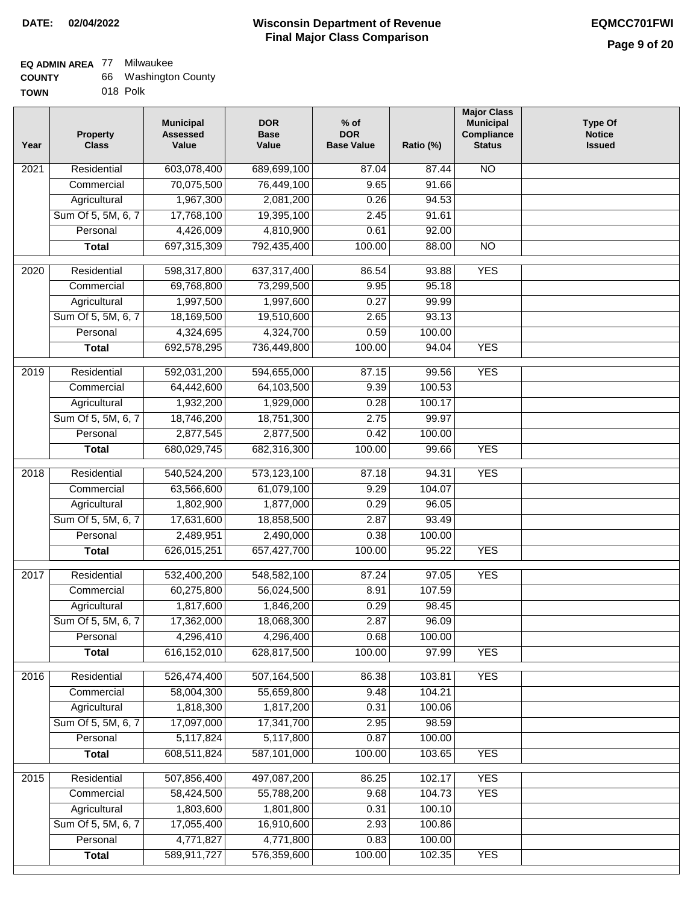| <b>COUNTY</b> | 66 Washington County |
|---------------|----------------------|
| <b>TOWN</b>   | 018 Polk             |

| WN | 018 Polk |
|----|----------|
|    |          |

| Year | <b>Property</b><br><b>Class</b> | <b>Municipal</b><br><b>Assessed</b><br>Value | <b>DOR</b><br><b>Base</b><br>Value | $%$ of<br><b>DOR</b><br><b>Base Value</b> | Ratio (%)        | <b>Major Class</b><br><b>Municipal</b><br>Compliance<br><b>Status</b> | <b>Type Of</b><br><b>Notice</b><br><b>Issued</b> |
|------|---------------------------------|----------------------------------------------|------------------------------------|-------------------------------------------|------------------|-----------------------------------------------------------------------|--------------------------------------------------|
| 2021 | Residential                     | 603,078,400                                  | 689,699,100                        | 87.04                                     | 87.44            | <b>NO</b>                                                             |                                                  |
|      | Commercial                      | 70,075,500                                   | 76,449,100                         | 9.65                                      | 91.66            |                                                                       |                                                  |
|      | Agricultural                    | 1,967,300                                    | 2,081,200                          | 0.26                                      | 94.53            |                                                                       |                                                  |
|      | Sum Of 5, 5M, 6, 7              | 17,768,100                                   | 19,395,100                         | 2.45                                      | 91.61            |                                                                       |                                                  |
|      | Personal                        | 4,426,009                                    | 4,810,900                          | 0.61                                      | 92.00            |                                                                       |                                                  |
|      | <b>Total</b>                    | 697,315,309                                  | 792,435,400                        | 100.00                                    | 88.00            | $\overline{NO}$                                                       |                                                  |
| 2020 | Residential                     | 598,317,800                                  | 637,317,400                        | 86.54                                     | 93.88            | <b>YES</b>                                                            |                                                  |
|      | Commercial                      | 69,768,800                                   | 73,299,500                         | 9.95                                      | 95.18            |                                                                       |                                                  |
|      | Agricultural                    | 1,997,500                                    | 1,997,600                          | 0.27                                      | 99.99            |                                                                       |                                                  |
|      | Sum Of 5, 5M, 6, 7              | 18,169,500                                   | 19,510,600                         | 2.65                                      | 93.13            |                                                                       |                                                  |
|      | Personal                        | 4,324,695                                    | 4,324,700                          | 0.59                                      | 100.00           |                                                                       |                                                  |
|      | <b>Total</b>                    | 692,578,295                                  | 736,449,800                        | 100.00                                    | 94.04            | <b>YES</b>                                                            |                                                  |
|      |                                 |                                              |                                    |                                           |                  |                                                                       |                                                  |
| 2019 | Residential                     | 592,031,200                                  | 594,655,000                        | 87.15                                     | 99.56            | <b>YES</b>                                                            |                                                  |
|      | Commercial                      | 64,442,600                                   | 64,103,500                         | 9.39                                      | 100.53           |                                                                       |                                                  |
|      | Agricultural                    | 1,932,200                                    | 1,929,000                          | 0.28                                      | 100.17           |                                                                       |                                                  |
|      | Sum Of 5, 5M, 6, 7              | 18,746,200                                   | 18,751,300                         | 2.75                                      | 99.97            |                                                                       |                                                  |
|      | Personal                        | 2,877,545                                    | 2,877,500                          | 0.42                                      | 100.00           |                                                                       |                                                  |
|      | <b>Total</b>                    | 680,029,745                                  | 682,316,300                        | 100.00                                    | 99.66            | <b>YES</b>                                                            |                                                  |
| 2018 | Residential                     | 540,524,200                                  | 573,123,100                        | 87.18                                     | 94.31            | <b>YES</b>                                                            |                                                  |
|      | Commercial                      | 63,566,600                                   | 61,079,100                         | 9.29                                      | 104.07           |                                                                       |                                                  |
|      | Agricultural                    | 1,802,900                                    | 1,877,000                          | 0.29                                      | 96.05            |                                                                       |                                                  |
|      | Sum Of 5, 5M, 6, 7              | 17,631,600                                   | 18,858,500                         | 2.87                                      | 93.49            |                                                                       |                                                  |
|      | Personal                        | 2,489,951                                    | 2,490,000                          | 0.38                                      | 100.00           |                                                                       |                                                  |
|      | <b>Total</b>                    | 626,015,251                                  | 657,427,700                        | 100.00                                    | 95.22            | <b>YES</b>                                                            |                                                  |
| 2017 | Residential                     | 532,400,200                                  | 548,582,100                        | 87.24                                     | 97.05            | <b>YES</b>                                                            |                                                  |
|      | Commercial                      | 60,275,800                                   | 56,024,500                         | 8.91                                      | 107.59           |                                                                       |                                                  |
|      | Agricultural                    | 1,817,600                                    | 1,846,200                          | 0.29                                      | 98.45            |                                                                       |                                                  |
|      | Sum Of 5, 5M, 6, 7              | 17,362,000                                   | 18,068,300                         | 2.87                                      | 96.09            |                                                                       |                                                  |
|      | Personal                        | 4,296,410                                    | 4,296,400                          | 0.68                                      | 100.00           |                                                                       |                                                  |
|      | <b>Total</b>                    | 616,152,010                                  | 628,817,500                        | 100.00                                    | 97.99            | <b>YES</b>                                                            |                                                  |
| 2016 | Residential                     | 526,474,400                                  | 507,164,500                        | 86.38                                     | 103.81           | <b>YES</b>                                                            |                                                  |
|      | Commercial                      | 58,004,300                                   | 55,659,800                         | 9.48                                      | 104.21           |                                                                       |                                                  |
|      | Agricultural                    | 1,818,300                                    | 1,817,200                          | 0.31                                      | 100.06           |                                                                       |                                                  |
|      | Sum Of 5, 5M, 6, 7              | 17,097,000                                   | 17,341,700                         | 2.95                                      | 98.59            |                                                                       |                                                  |
|      | Personal                        | 5,117,824                                    | 5,117,800                          | 0.87                                      | 100.00           |                                                                       |                                                  |
|      | <b>Total</b>                    | 608,511,824                                  | 587,101,000                        | 100.00                                    | 103.65           | <b>YES</b>                                                            |                                                  |
|      |                                 |                                              |                                    |                                           |                  |                                                                       |                                                  |
| 2015 | Residential                     | 507,856,400                                  | 497,087,200                        | 86.25                                     | 102.17           | <b>YES</b>                                                            |                                                  |
|      | Commercial<br>Agricultural      | 58,424,500<br>1,803,600                      | 55,788,200<br>1,801,800            | 9.68<br>0.31                              | 104.73<br>100.10 | <b>YES</b>                                                            |                                                  |
|      | Sum Of 5, 5M, 6, 7              | 17,055,400                                   | 16,910,600                         | 2.93                                      | 100.86           |                                                                       |                                                  |
|      | Personal                        | 4,771,827                                    | 4,771,800                          | 0.83                                      | 100.00           |                                                                       |                                                  |
|      | <b>Total</b>                    | 589,911,727                                  | 576,359,600                        | 100.00                                    | 102.35           | <b>YES</b>                                                            |                                                  |
|      |                                 |                                              |                                    |                                           |                  |                                                                       |                                                  |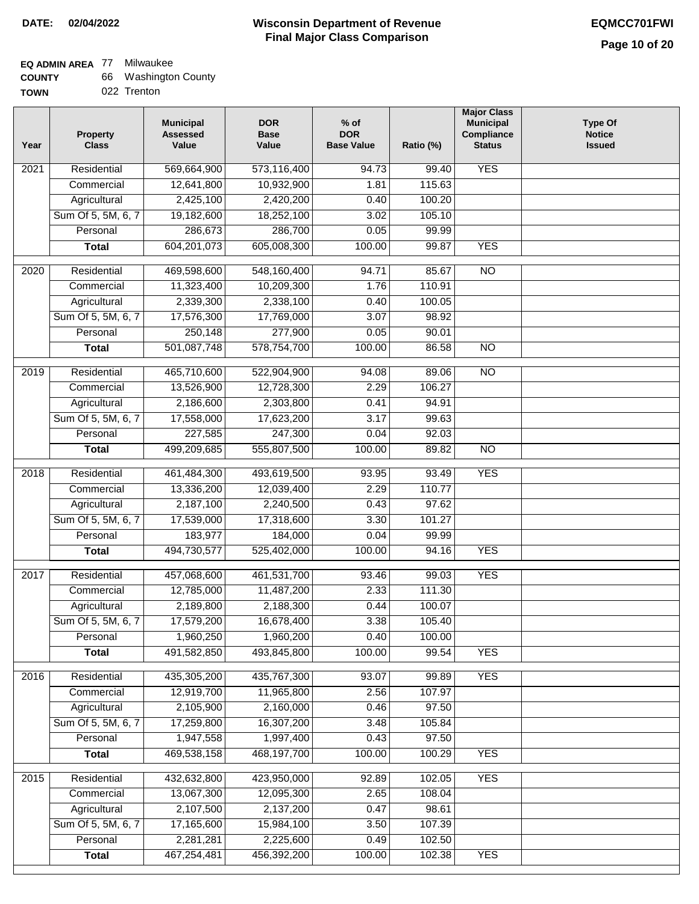| <b>COUNTY</b> | 66 Washington County |
|---------------|----------------------|
|---------------|----------------------|

| <b>TOWN</b> |  | 022 Trenton |
|-------------|--|-------------|
|-------------|--|-------------|

| Year              | <b>Property</b><br><b>Class</b> | <b>Municipal</b><br><b>Assessed</b><br>Value | <b>DOR</b><br><b>Base</b><br>Value | $%$ of<br><b>DOR</b><br><b>Base Value</b> | Ratio (%) | <b>Major Class</b><br><b>Municipal</b><br>Compliance<br><b>Status</b> | <b>Type Of</b><br><b>Notice</b><br><b>Issued</b> |
|-------------------|---------------------------------|----------------------------------------------|------------------------------------|-------------------------------------------|-----------|-----------------------------------------------------------------------|--------------------------------------------------|
| 2021              | Residential                     | 569,664,900                                  | 573,116,400                        | 94.73                                     | 99.40     | <b>YES</b>                                                            |                                                  |
|                   | Commercial                      | 12,641,800                                   | 10,932,900                         | 1.81                                      | 115.63    |                                                                       |                                                  |
|                   | Agricultural                    | 2,425,100                                    | 2,420,200                          | 0.40                                      | 100.20    |                                                                       |                                                  |
|                   | Sum Of 5, 5M, 6, 7              | 19,182,600                                   | 18,252,100                         | 3.02                                      | 105.10    |                                                                       |                                                  |
|                   | Personal                        | 286,673                                      | 286,700                            | 0.05                                      | 99.99     |                                                                       |                                                  |
|                   | <b>Total</b>                    | 604,201,073                                  | 605,008,300                        | 100.00                                    | 99.87     | <b>YES</b>                                                            |                                                  |
| 2020              | Residential                     | 469,598,600                                  | 548,160,400                        | 94.71                                     | 85.67     | $\overline{3}$                                                        |                                                  |
|                   | Commercial                      | 11,323,400                                   | 10,209,300                         | 1.76                                      | 110.91    |                                                                       |                                                  |
|                   | Agricultural                    | 2,339,300                                    | 2,338,100                          | 0.40                                      | 100.05    |                                                                       |                                                  |
|                   | Sum Of 5, 5M, 6, 7              | 17,576,300                                   | 17,769,000                         | 3.07                                      | 98.92     |                                                                       |                                                  |
|                   | Personal                        | 250,148                                      | 277,900                            | 0.05                                      | 90.01     |                                                                       |                                                  |
|                   | <b>Total</b>                    | 501,087,748                                  | 578,754,700                        | 100.00                                    | 86.58     | $\overline{NO}$                                                       |                                                  |
|                   |                                 |                                              |                                    |                                           |           |                                                                       |                                                  |
| 2019              | Residential                     | 465,710,600                                  | 522,904,900                        | 94.08                                     | 89.06     | $\overline{NO}$                                                       |                                                  |
|                   | Commercial                      | 13,526,900                                   | 12,728,300                         | 2.29                                      | 106.27    |                                                                       |                                                  |
|                   | Agricultural                    | 2,186,600                                    | 2,303,800                          | 0.41                                      | 94.91     |                                                                       |                                                  |
|                   | Sum Of 5, 5M, 6, 7              | 17,558,000                                   | 17,623,200                         | 3.17                                      | 99.63     |                                                                       |                                                  |
|                   | Personal                        | 227,585                                      | 247,300                            | 0.04                                      | 92.03     |                                                                       |                                                  |
|                   | <b>Total</b>                    | 499,209,685                                  | 555,807,500                        | 100.00                                    | 89.82     | $\overline{NO}$                                                       |                                                  |
| $\overline{2018}$ | Residential                     | 461,484,300                                  | 493,619,500                        | 93.95                                     | 93.49     | <b>YES</b>                                                            |                                                  |
|                   | Commercial                      | 13,336,200                                   | 12,039,400                         | 2.29                                      | 110.77    |                                                                       |                                                  |
|                   | Agricultural                    | 2,187,100                                    | 2,240,500                          | 0.43                                      | 97.62     |                                                                       |                                                  |
|                   | Sum Of 5, 5M, 6, 7              | 17,539,000                                   | 17,318,600                         | 3.30                                      | 101.27    |                                                                       |                                                  |
|                   | Personal                        | 183,977                                      | 184,000                            | 0.04                                      | 99.99     |                                                                       |                                                  |
|                   | <b>Total</b>                    | 494,730,577                                  | 525,402,000                        | 100.00                                    | 94.16     | <b>YES</b>                                                            |                                                  |
| 2017              | Residential                     | 457,068,600                                  | 461,531,700                        | 93.46                                     | 99.03     | <b>YES</b>                                                            |                                                  |
|                   | Commercial                      | 12,785,000                                   | 11,487,200                         | 2.33                                      | 111.30    |                                                                       |                                                  |
|                   | Agricultural                    | 2,189,800                                    | 2,188,300                          | 0.44                                      | 100.07    |                                                                       |                                                  |
|                   | Sum Of 5, 5M, 6, 7              | 17,579,200                                   | 16,678,400                         | 3.38                                      | 105.40    |                                                                       |                                                  |
|                   | Personal                        | 1,960,250                                    | 1,960,200                          | 0.40                                      | 100.00    |                                                                       |                                                  |
|                   | <b>Total</b>                    | 491,582,850                                  | 493,845,800                        | 100.00                                    | 99.54     | <b>YES</b>                                                            |                                                  |
| 2016              | Residential                     | 435,305,200                                  | 435,767,300                        | 93.07                                     | 99.89     | <b>YES</b>                                                            |                                                  |
|                   | Commercial                      | 12,919,700                                   | 11,965,800                         | 2.56                                      | 107.97    |                                                                       |                                                  |
|                   | Agricultural                    | 2,105,900                                    | 2,160,000                          | 0.46                                      | 97.50     |                                                                       |                                                  |
|                   | Sum Of 5, 5M, 6, 7              | 17,259,800                                   | 16,307,200                         | 3.48                                      | 105.84    |                                                                       |                                                  |
|                   | Personal                        | 1,947,558                                    | 1,997,400                          | 0.43                                      | 97.50     |                                                                       |                                                  |
|                   | <b>Total</b>                    | 469,538,158                                  | 468,197,700                        | 100.00                                    | 100.29    | <b>YES</b>                                                            |                                                  |
| $\frac{2015}{ }$  | Residential                     | 432,632,800                                  | 423,950,000                        | 92.89                                     | 102.05    | <b>YES</b>                                                            |                                                  |
|                   | Commercial                      | 13,067,300                                   | 12,095,300                         | 2.65                                      | 108.04    |                                                                       |                                                  |
|                   | Agricultural                    | 2,107,500                                    | 2,137,200                          | 0.47                                      | 98.61     |                                                                       |                                                  |
|                   | Sum Of 5, 5M, 6, 7              | 17,165,600                                   | 15,984,100                         | 3.50                                      | 107.39    |                                                                       |                                                  |
|                   | Personal                        | 2,281,281                                    | 2,225,600                          | 0.49                                      | 102.50    |                                                                       |                                                  |
|                   | <b>Total</b>                    | 467,254,481                                  | 456,392,200                        | 100.00                                    | 102.38    | <b>YES</b>                                                            |                                                  |
|                   |                                 |                                              |                                    |                                           |           |                                                                       |                                                  |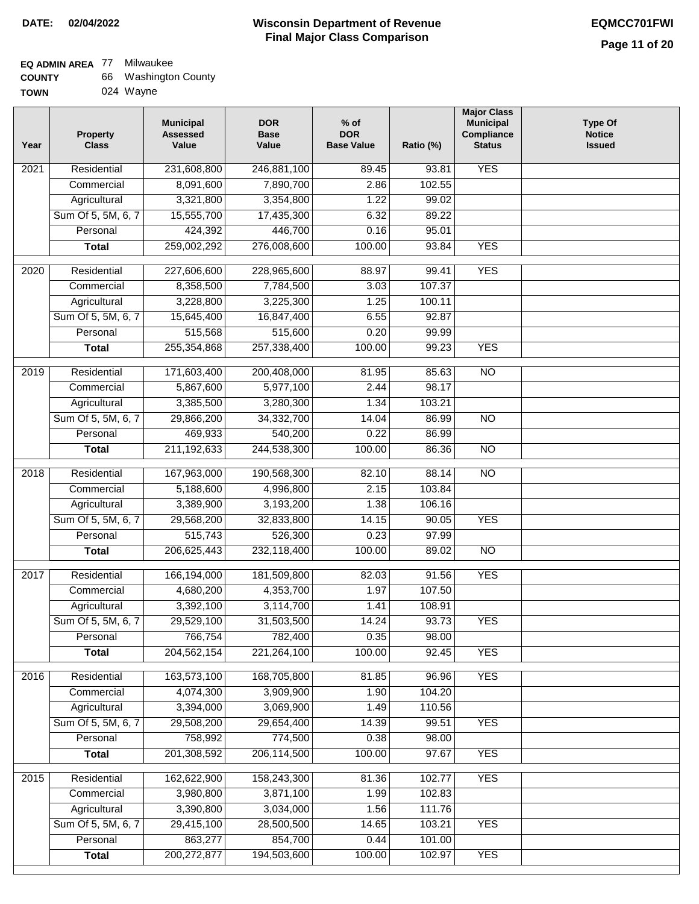| <b>COUNTY</b> | 66 Washington County |
|---------------|----------------------|
| <b>TOWN</b>   | 024 Wayne            |

| 024 Wayne |
|-----------|
|           |

| Year              | <b>Property</b><br><b>Class</b> | <b>Municipal</b><br><b>Assessed</b><br>Value | <b>DOR</b><br><b>Base</b><br>Value | % of<br><b>DOR</b><br><b>Base Value</b> | Ratio (%) | <b>Major Class</b><br><b>Municipal</b><br>Compliance<br><b>Status</b> | <b>Type Of</b><br><b>Notice</b><br><b>Issued</b> |
|-------------------|---------------------------------|----------------------------------------------|------------------------------------|-----------------------------------------|-----------|-----------------------------------------------------------------------|--------------------------------------------------|
| $\overline{202}1$ | Residential                     | 231,608,800                                  | 246,881,100                        | 89.45                                   | 93.81     | <b>YES</b>                                                            |                                                  |
|                   | Commercial                      | 8,091,600                                    | 7,890,700                          | 2.86                                    | 102.55    |                                                                       |                                                  |
|                   | Agricultural                    | 3,321,800                                    | 3,354,800                          | 1.22                                    | 99.02     |                                                                       |                                                  |
|                   | Sum Of 5, 5M, 6, 7              | 15,555,700                                   | 17,435,300                         | 6.32                                    | 89.22     |                                                                       |                                                  |
|                   | Personal                        | 424,392                                      | 446,700                            | 0.16                                    | 95.01     |                                                                       |                                                  |
|                   | <b>Total</b>                    | 259,002,292                                  | 276,008,600                        | 100.00                                  | 93.84     | <b>YES</b>                                                            |                                                  |
| $\overline{2020}$ | Residential                     | 227,606,600                                  | 228,965,600                        | 88.97                                   | 99.41     | <b>YES</b>                                                            |                                                  |
|                   | Commercial                      | 8,358,500                                    | 7,784,500                          | 3.03                                    | 107.37    |                                                                       |                                                  |
|                   | Agricultural                    | 3,228,800                                    | 3,225,300                          | 1.25                                    | 100.11    |                                                                       |                                                  |
|                   | Sum Of 5, 5M, 6, 7              | 15,645,400                                   | 16,847,400                         | 6.55                                    | 92.87     |                                                                       |                                                  |
|                   | Personal                        | 515,568                                      | 515,600                            | 0.20                                    | 99.99     |                                                                       |                                                  |
|                   | <b>Total</b>                    | 255,354,868                                  | 257,338,400                        | 100.00                                  | 99.23     | <b>YES</b>                                                            |                                                  |
| 2019              | Residential                     | 171,603,400                                  | 200,408,000                        | 81.95                                   | 85.63     | $\overline{N}$                                                        |                                                  |
|                   | Commercial                      | 5,867,600                                    | 5,977,100                          | 2.44                                    | 98.17     |                                                                       |                                                  |
|                   | Agricultural                    | 3,385,500                                    | 3,280,300                          | 1.34                                    | 103.21    |                                                                       |                                                  |
|                   | Sum Of 5, 5M, 6, 7              | 29,866,200                                   | 34,332,700                         | 14.04                                   | 86.99     | $\overline{NO}$                                                       |                                                  |
|                   | Personal                        | 469,933                                      | 540,200                            | 0.22                                    | 86.99     |                                                                       |                                                  |
|                   | <b>Total</b>                    | 211,192,633                                  | 244,538,300                        | 100.00                                  | 86.36     | $\overline{NO}$                                                       |                                                  |
|                   |                                 |                                              |                                    |                                         |           |                                                                       |                                                  |
| 2018              | Residential                     | 167,963,000                                  | 190,568,300                        | 82.10                                   | 88.14     | $\overline{NO}$                                                       |                                                  |
|                   | Commercial                      | 5,188,600                                    | 4,996,800                          | 2.15                                    | 103.84    |                                                                       |                                                  |
|                   | Agricultural                    | 3,389,900                                    | 3,193,200                          | 1.38                                    | 106.16    |                                                                       |                                                  |
|                   | Sum Of 5, 5M, 6, 7              | 29,568,200                                   | 32,833,800                         | 14.15                                   | 90.05     | <b>YES</b>                                                            |                                                  |
|                   | Personal                        | 515,743                                      | 526,300                            | 0.23                                    | 97.99     |                                                                       |                                                  |
|                   | <b>Total</b>                    | 206,625,443                                  | 232,118,400                        | 100.00                                  | 89.02     | <b>NO</b>                                                             |                                                  |
| 2017              | Residential                     | 166,194,000                                  | 181,509,800                        | 82.03                                   | 91.56     | <b>YES</b>                                                            |                                                  |
|                   | Commercial                      | 4,680,200                                    | 4,353,700                          | 1.97                                    | 107.50    |                                                                       |                                                  |
|                   | Agricultural                    | 3,392,100                                    | 3,114,700                          | 1.41                                    | 108.91    |                                                                       |                                                  |
|                   | Sum Of 5, 5M, 6, 7              | 29,529,100                                   | 31,503,500                         | 14.24                                   | 93.73     | <b>YES</b>                                                            |                                                  |
|                   | Personal                        | 766,754                                      | 782,400                            | 0.35                                    | 98.00     |                                                                       |                                                  |
|                   | <b>Total</b>                    | 204,562,154                                  | 221,264,100                        | 100.00                                  | 92.45     | <b>YES</b>                                                            |                                                  |
| 2016              | Residential                     | 163,573,100                                  | 168,705,800                        | 81.85                                   | 96.96     | <b>YES</b>                                                            |                                                  |
|                   | Commercial                      | 4,074,300                                    | 3,909,900                          | 1.90                                    | 104.20    |                                                                       |                                                  |
|                   | Agricultural                    | 3,394,000                                    | 3,069,900                          | 1.49                                    | 110.56    |                                                                       |                                                  |
|                   | Sum Of 5, 5M, 6, 7              | 29,508,200                                   | 29,654,400                         | 14.39                                   | 99.51     | <b>YES</b>                                                            |                                                  |
|                   | Personal                        | 758,992                                      | 774,500                            | 0.38                                    | 98.00     |                                                                       |                                                  |
|                   | <b>Total</b>                    | 201,308,592                                  | 206,114,500                        | 100.00                                  | 97.67     | <b>YES</b>                                                            |                                                  |
| 2015              | Residential                     | 162,622,900                                  | 158,243,300                        | 81.36                                   | 102.77    | <b>YES</b>                                                            |                                                  |
|                   | Commercial                      | 3,980,800                                    | 3,871,100                          | 1.99                                    | 102.83    |                                                                       |                                                  |
|                   | Agricultural                    | 3,390,800                                    | 3,034,000                          | 1.56                                    | 111.76    |                                                                       |                                                  |
|                   | Sum Of 5, 5M, 6, 7              | 29,415,100                                   | 28,500,500                         | 14.65                                   | 103.21    | <b>YES</b>                                                            |                                                  |
|                   | Personal                        | 863,277                                      | 854,700                            | 0.44                                    | 101.00    |                                                                       |                                                  |
|                   | <b>Total</b>                    | 200,272,877                                  | 194,503,600                        | 100.00                                  | 102.97    | <b>YES</b>                                                            |                                                  |
|                   |                                 |                                              |                                    |                                         |           |                                                                       |                                                  |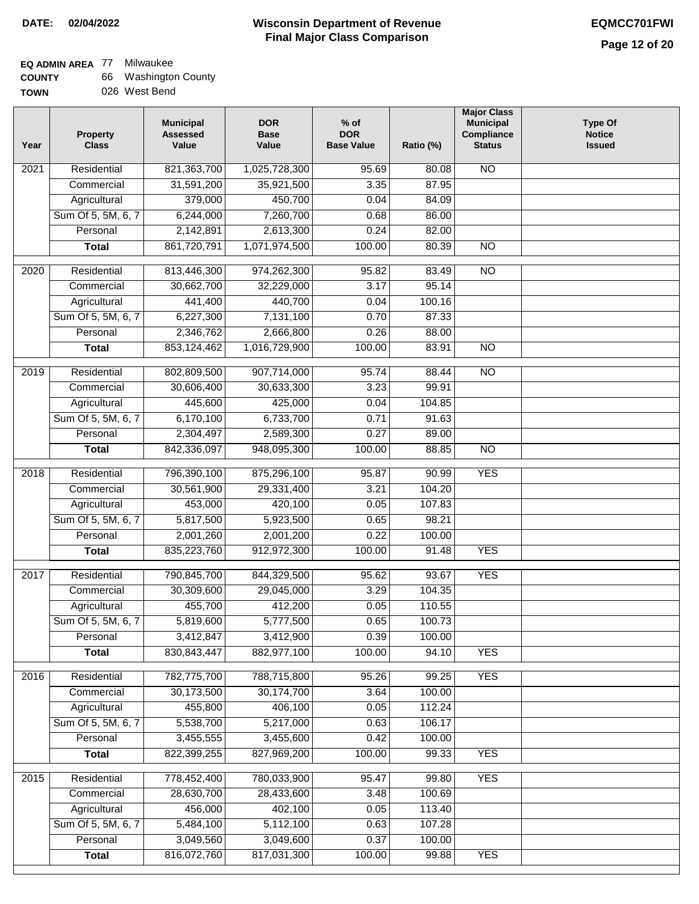| <b>COUNTY</b> | 66 Washington County |
|---------------|----------------------|
| <b>TOWN</b>   | 026 West Bend        |

| Year | <b>Property</b><br><b>Class</b> | <b>Municipal</b><br><b>Assessed</b><br>Value | <b>DOR</b><br><b>Base</b><br>Value | $%$ of<br><b>DOR</b><br><b>Base Value</b> | Ratio (%) | <b>Major Class</b><br><b>Municipal</b><br>Compliance<br><b>Status</b> | <b>Type Of</b><br><b>Notice</b><br><b>Issued</b> |
|------|---------------------------------|----------------------------------------------|------------------------------------|-------------------------------------------|-----------|-----------------------------------------------------------------------|--------------------------------------------------|
| 2021 | Residential                     | 821,363,700                                  | 1,025,728,300                      | 95.69                                     | 80.08     | N <sub>O</sub>                                                        |                                                  |
|      | Commercial                      | 31,591,200                                   | 35,921,500                         | 3.35                                      | 87.95     |                                                                       |                                                  |
|      | Agricultural                    | 379,000                                      | 450,700                            | 0.04                                      | 84.09     |                                                                       |                                                  |
|      | Sum Of 5, 5M, 6, 7              | 6,244,000                                    | 7,260,700                          | 0.68                                      | 86.00     |                                                                       |                                                  |
|      | Personal                        | 2,142,891                                    | 2,613,300                          | 0.24                                      | 82.00     |                                                                       |                                                  |
|      | <b>Total</b>                    | 861,720,791                                  | 1,071,974,500                      | 100.00                                    | 80.39     | $\overline{NO}$                                                       |                                                  |
| 2020 | Residential                     | 813,446,300                                  | 974,262,300                        | 95.82                                     | 83.49     | $\overline{NO}$                                                       |                                                  |
|      | Commercial                      | 30,662,700                                   | 32,229,000                         | 3.17                                      | 95.14     |                                                                       |                                                  |
|      | Agricultural                    | 441,400                                      | 440,700                            | 0.04                                      | 100.16    |                                                                       |                                                  |
|      | Sum Of 5, 5M, 6, 7              | 6,227,300                                    | 7,131,100                          | 0.70                                      | 87.33     |                                                                       |                                                  |
|      | Personal                        | 2,346,762                                    | 2,666,800                          | 0.26                                      | 88.00     |                                                                       |                                                  |
|      | <b>Total</b>                    | 853,124,462                                  | 1,016,729,900                      | 100.00                                    | 83.91     | <b>NO</b>                                                             |                                                  |
| 2019 | Residential                     |                                              |                                    | 95.74                                     | 88.44     | <b>NO</b>                                                             |                                                  |
|      | Commercial                      | 802,809,500<br>30,606,400                    | 907,714,000<br>30,633,300          | 3.23                                      | 99.91     |                                                                       |                                                  |
|      | Agricultural                    | 445,600                                      | 425,000                            | 0.04                                      | 104.85    |                                                                       |                                                  |
|      |                                 |                                              |                                    |                                           |           |                                                                       |                                                  |
|      | Sum Of 5, 5M, 6, 7              | 6,170,100                                    | 6,733,700                          | 0.71                                      | 91.63     |                                                                       |                                                  |
|      | Personal                        | 2,304,497                                    | 2,589,300                          | 0.27                                      | 89.00     |                                                                       |                                                  |
|      | <b>Total</b>                    | 842,336,097                                  | 948,095,300                        | 100.00                                    | 88.85     | <b>NO</b>                                                             |                                                  |
| 2018 | Residential                     | 796,390,100                                  | 875,296,100                        | 95.87                                     | 90.99     | <b>YES</b>                                                            |                                                  |
|      | Commercial                      | 30,561,900                                   | 29,331,400                         | 3.21                                      | 104.20    |                                                                       |                                                  |
|      | Agricultural                    | 453,000                                      | 420,100                            | 0.05                                      | 107.83    |                                                                       |                                                  |
|      | Sum Of 5, 5M, 6, 7              | 5,817,500                                    | 5,923,500                          | 0.65                                      | 98.21     |                                                                       |                                                  |
|      | Personal                        | 2,001,260                                    | 2,001,200                          | 0.22                                      | 100.00    |                                                                       |                                                  |
|      | <b>Total</b>                    | 835,223,760                                  | 912,972,300                        | 100.00                                    | 91.48     | <b>YES</b>                                                            |                                                  |
| 2017 | Residential                     | 790,845,700                                  | 844,329,500                        | 95.62                                     | 93.67     | <b>YES</b>                                                            |                                                  |
|      | Commercial                      | 30,309,600                                   | 29,045,000                         | 3.29                                      | 104.35    |                                                                       |                                                  |
|      | Agricultural                    | 455,700                                      | 412,200                            | 0.05                                      | 110.55    |                                                                       |                                                  |
|      | Sum Of 5, 5M, 6, 7              | 5,819,600                                    | 5,777,500                          | 0.65                                      | 100.73    |                                                                       |                                                  |
|      | Personal                        | 3,412,847                                    | 3,412,900                          | 0.39                                      | 100.00    |                                                                       |                                                  |
|      | <b>Total</b>                    | 830, 843, 447                                | 882,977,100                        | 100.00                                    | 94.10     | <b>YES</b>                                                            |                                                  |
| 2016 | Residential                     | 782,775,700                                  | 788,715,800                        | 95.26                                     | 99.25     | <b>YES</b>                                                            |                                                  |
|      | Commercial                      | 30,173,500                                   | 30,174,700                         | 3.64                                      | 100.00    |                                                                       |                                                  |
|      | Agricultural                    | 455,800                                      | 406,100                            | 0.05                                      | 112.24    |                                                                       |                                                  |
|      | Sum Of 5, 5M, 6, 7              | 5,538,700                                    | 5,217,000                          | 0.63                                      | 106.17    |                                                                       |                                                  |
|      | Personal                        | 3,455,555                                    | 3,455,600                          | 0.42                                      | 100.00    |                                                                       |                                                  |
|      | <b>Total</b>                    | 822,399,255                                  | 827,969,200                        | 100.00                                    | 99.33     | <b>YES</b>                                                            |                                                  |
| 2015 | Residential                     | 778,452,400                                  | 780,033,900                        | 95.47                                     | 99.80     | <b>YES</b>                                                            |                                                  |
|      | Commercial                      | 28,630,700                                   | 28,433,600                         | 3.48                                      | 100.69    |                                                                       |                                                  |
|      | Agricultural                    | 456,000                                      | 402,100                            | 0.05                                      | 113.40    |                                                                       |                                                  |
|      | Sum Of 5, 5M, 6, 7              | 5,484,100                                    | 5,112,100                          | 0.63                                      | 107.28    |                                                                       |                                                  |
|      | Personal                        | 3,049,560                                    | 3,049,600                          | 0.37                                      | 100.00    |                                                                       |                                                  |
|      | <b>Total</b>                    | 816,072,760                                  | 817,031,300                        | 100.00                                    | 99.88     | <b>YES</b>                                                            |                                                  |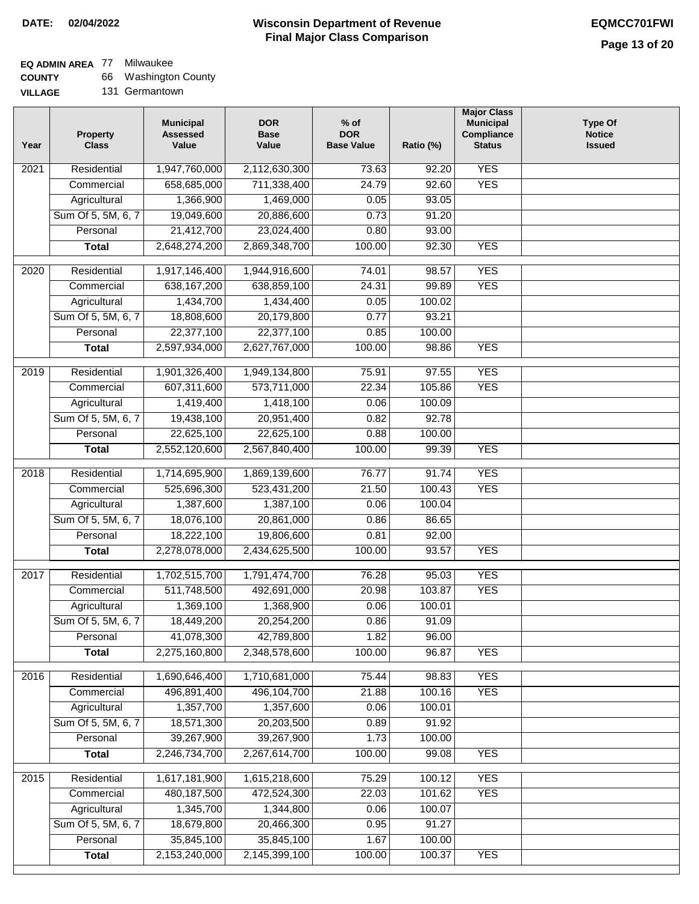### **EQ ADMIN AREA** 77 Milwaukee

| <b>COUNTY</b>  | 66 Washington County |
|----------------|----------------------|
| <b>VILLAGE</b> | 131 Germantown       |

| Year             | <b>Property</b><br><b>Class</b> | <b>Municipal</b><br><b>Assessed</b><br>Value | <b>DOR</b><br><b>Base</b><br>Value | $%$ of<br><b>DOR</b><br><b>Base Value</b> | Ratio (%) | <b>Major Class</b><br><b>Municipal</b><br>Compliance<br><b>Status</b> | <b>Type Of</b><br><b>Notice</b><br><b>Issued</b> |
|------------------|---------------------------------|----------------------------------------------|------------------------------------|-------------------------------------------|-----------|-----------------------------------------------------------------------|--------------------------------------------------|
| 2021             | Residential                     | 1,947,760,000                                | 2,112,630,300                      | 73.63                                     | 92.20     | <b>YES</b>                                                            |                                                  |
|                  | Commercial                      | 658,685,000                                  | 711,338,400                        | 24.79                                     | 92.60     | <b>YES</b>                                                            |                                                  |
|                  | Agricultural                    | 1,366,900                                    | 1,469,000                          | 0.05                                      | 93.05     |                                                                       |                                                  |
|                  | Sum Of 5, 5M, 6, 7              | 19,049,600                                   | 20,886,600                         | 0.73                                      | 91.20     |                                                                       |                                                  |
|                  | Personal                        | 21,412,700                                   | 23,024,400                         | 0.80                                      | 93.00     |                                                                       |                                                  |
|                  | <b>Total</b>                    | 2,648,274,200                                | 2,869,348,700                      | 100.00                                    | 92.30     | <b>YES</b>                                                            |                                                  |
| 2020             | Residential                     | 1,917,146,400                                | 1,944,916,600                      | 74.01                                     | 98.57     | <b>YES</b>                                                            |                                                  |
|                  | Commercial                      | 638, 167, 200                                | 638,859,100                        | 24.31                                     | 99.89     | <b>YES</b>                                                            |                                                  |
|                  | Agricultural                    | 1,434,700                                    | 1,434,400                          | 0.05                                      | 100.02    |                                                                       |                                                  |
|                  | Sum Of 5, 5M, 6, 7              | 18,808,600                                   | 20,179,800                         | 0.77                                      | 93.21     |                                                                       |                                                  |
|                  | Personal                        | 22,377,100                                   | 22,377,100                         | 0.85                                      | 100.00    |                                                                       |                                                  |
|                  | <b>Total</b>                    | 2,597,934,000                                | 2,627,767,000                      | 100.00                                    | 98.86     | <b>YES</b>                                                            |                                                  |
|                  |                                 |                                              |                                    |                                           |           |                                                                       |                                                  |
| $\frac{1}{2019}$ | Residential                     | 1,901,326,400                                | 1,949,134,800                      | 75.91                                     | 97.55     | <b>YES</b>                                                            |                                                  |
|                  | Commercial                      | 607,311,600                                  | 573,711,000                        | 22.34                                     | 105.86    | <b>YES</b>                                                            |                                                  |
|                  | Agricultural                    | 1,419,400                                    | 1,418,100                          | 0.06                                      | 100.09    |                                                                       |                                                  |
|                  | Sum Of 5, 5M, 6, 7              | 19,438,100                                   | 20,951,400                         | 0.82                                      | 92.78     |                                                                       |                                                  |
|                  | Personal                        | 22,625,100                                   | 22,625,100                         | 0.88                                      | 100.00    |                                                                       |                                                  |
|                  | <b>Total</b>                    | 2,552,120,600                                | 2,567,840,400                      | 100.00                                    | 99.39     | <b>YES</b>                                                            |                                                  |
| 2018             | Residential                     | 1,714,695,900                                | 1,869,139,600                      | 76.77                                     | 91.74     | <b>YES</b>                                                            |                                                  |
|                  | Commercial                      | 525,696,300                                  | 523,431,200                        | 21.50                                     | 100.43    | <b>YES</b>                                                            |                                                  |
|                  | Agricultural                    | 1,387,600                                    | 1,387,100                          | 0.06                                      | 100.04    |                                                                       |                                                  |
|                  | Sum Of 5, 5M, 6, 7              | 18,076,100                                   | 20,861,000                         | 0.86                                      | 86.65     |                                                                       |                                                  |
|                  | Personal                        | 18,222,100                                   | 19,806,600                         | 0.81                                      | 92.00     |                                                                       |                                                  |
|                  | <b>Total</b>                    | 2,278,078,000                                | 2,434,625,500                      | 100.00                                    | 93.57     | <b>YES</b>                                                            |                                                  |
| 2017             | Residential                     | 1,702,515,700                                | 1,791,474,700                      | 76.28                                     | 95.03     | <b>YES</b>                                                            |                                                  |
|                  | Commercial                      | 511,748,500                                  | 492,691,000                        | 20.98                                     | 103.87    | <b>YES</b>                                                            |                                                  |
|                  | Agricultural                    | 1,369,100                                    | 1,368,900                          | 0.06                                      | 100.01    |                                                                       |                                                  |
|                  | Sum Of 5, 5M, 6, 7              | 18,449,200                                   | 20,254,200                         | 0.86                                      | 91.09     |                                                                       |                                                  |
|                  | Personal                        | 41,078,300                                   | 42,789,800                         | 1.82                                      | 96.00     |                                                                       |                                                  |
|                  | <b>Total</b>                    | 2,275,160,800                                | 2,348,578,600                      | 100.00                                    | 96.87     | <b>YES</b>                                                            |                                                  |
|                  |                                 |                                              |                                    |                                           |           |                                                                       |                                                  |
| 2016             | Residential                     | 1,690,646,400                                | 1,710,681,000                      | 75.44                                     | 98.83     | <b>YES</b><br><b>YES</b>                                              |                                                  |
|                  | Commercial                      | 496,891,400                                  | 496,104,700                        | 21.88                                     | 100.16    |                                                                       |                                                  |
|                  | Agricultural                    | 1,357,700                                    | 1,357,600                          | 0.06                                      | 100.01    |                                                                       |                                                  |
|                  | Sum Of 5, 5M, 6, 7              | 18,571,300                                   | 20,203,500                         | 0.89                                      | 91.92     |                                                                       |                                                  |
|                  | Personal                        | 39,267,900                                   | 39,267,900                         | 1.73                                      | 100.00    |                                                                       |                                                  |
|                  | <b>Total</b>                    | 2,246,734,700                                | 2,267,614,700                      | 100.00                                    | 99.08     | <b>YES</b>                                                            |                                                  |
| 2015             | Residential                     | 1,617,181,900                                | 1,615,218,600                      | 75.29                                     | 100.12    | <b>YES</b>                                                            |                                                  |
|                  | Commercial                      | 480, 187, 500                                | 472,524,300                        | 22.03                                     | 101.62    | <b>YES</b>                                                            |                                                  |
|                  | Agricultural                    | 1,345,700                                    | 1,344,800                          | 0.06                                      | 100.07    |                                                                       |                                                  |
|                  | Sum Of 5, 5M, 6, 7              | 18,679,800                                   | 20,466,300                         | 0.95                                      | 91.27     |                                                                       |                                                  |
|                  | Personal                        | 35,845,100                                   | 35,845,100                         | 1.67                                      | 100.00    |                                                                       |                                                  |
|                  | <b>Total</b>                    | 2,153,240,000                                | 2,145,399,100                      | 100.00                                    | 100.37    | <b>YES</b>                                                            |                                                  |
|                  |                                 |                                              |                                    |                                           |           |                                                                       |                                                  |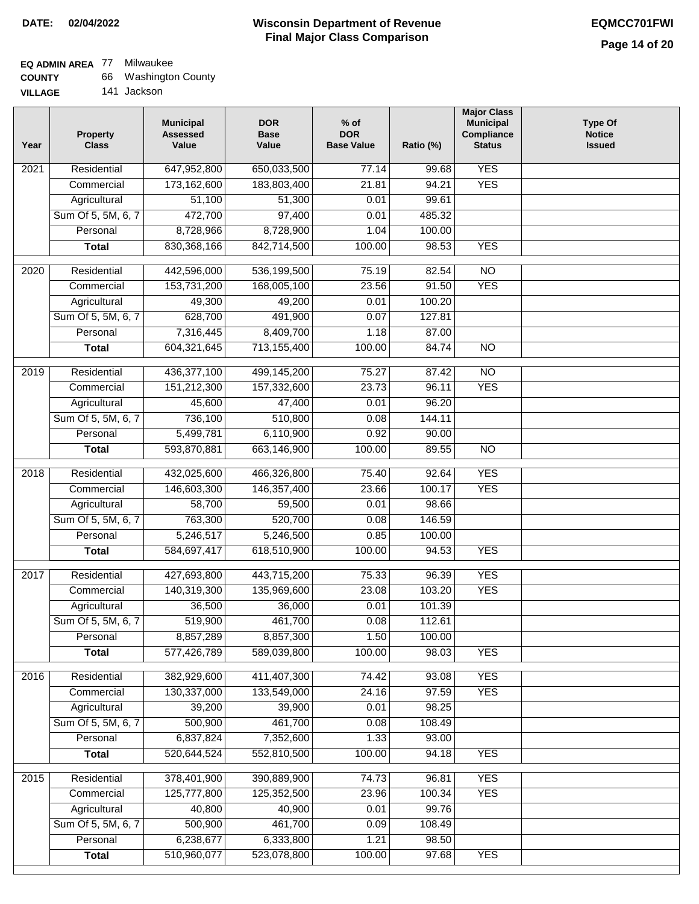# **EQ ADMIN AREA** 77 Milwaukee

| <b>COUNTY</b> |  | 66 Washington County |
|---------------|--|----------------------|
|---------------|--|----------------------|

**VILLAGE** 141 Jackson

| Year | <b>Property</b><br><b>Class</b> | <b>Municipal</b><br><b>Assessed</b><br>Value | <b>DOR</b><br><b>Base</b><br>Value | $%$ of<br><b>DOR</b><br><b>Base Value</b> | Ratio (%) | <b>Major Class</b><br><b>Municipal</b><br>Compliance<br><b>Status</b> | <b>Type Of</b><br><b>Notice</b><br><b>Issued</b> |
|------|---------------------------------|----------------------------------------------|------------------------------------|-------------------------------------------|-----------|-----------------------------------------------------------------------|--------------------------------------------------|
| 2021 | Residential                     | 647,952,800                                  | 650,033,500                        | 77.14                                     | 99.68     | <b>YES</b>                                                            |                                                  |
|      | Commercial                      | 173,162,600                                  | 183,803,400                        | 21.81                                     | 94.21     | <b>YES</b>                                                            |                                                  |
|      | Agricultural                    | 51,100                                       | 51,300                             | 0.01                                      | 99.61     |                                                                       |                                                  |
|      | Sum Of 5, 5M, 6, 7              | 472,700                                      | 97,400                             | 0.01                                      | 485.32    |                                                                       |                                                  |
|      | Personal                        | 8,728,966                                    | 8,728,900                          | 1.04                                      | 100.00    |                                                                       |                                                  |
|      | <b>Total</b>                    | 830, 368, 166                                | 842,714,500                        | 100.00                                    | 98.53     | <b>YES</b>                                                            |                                                  |
| 2020 | Residential                     | 442,596,000                                  | 536,199,500                        | 75.19                                     | 82.54     | $\overline{NO}$                                                       |                                                  |
|      | Commercial                      | 153,731,200                                  | 168,005,100                        | 23.56                                     | 91.50     | <b>YES</b>                                                            |                                                  |
|      | Agricultural                    | 49,300                                       | 49,200                             | 0.01                                      | 100.20    |                                                                       |                                                  |
|      | Sum Of 5, 5M, 6, 7              | 628,700                                      | 491,900                            | 0.07                                      | 127.81    |                                                                       |                                                  |
|      | Personal                        | 7,316,445                                    | 8,409,700                          | 1.18                                      | 87.00     |                                                                       |                                                  |
|      | <b>Total</b>                    | 604,321,645                                  | 713,155,400                        | 100.00                                    | 84.74     | $\overline{NO}$                                                       |                                                  |
| 2019 | Residential                     | 436,377,100                                  | 499,145,200                        | 75.27                                     | 87.42     | $\overline{10}$                                                       |                                                  |
|      | Commercial                      | 151,212,300                                  | 157,332,600                        | 23.73                                     | 96.11     | <b>YES</b>                                                            |                                                  |
|      | Agricultural                    | 45,600                                       | 47,400                             | 0.01                                      | 96.20     |                                                                       |                                                  |
|      | Sum Of 5, 5M, 6, 7              | 736,100                                      | 510,800                            | 0.08                                      | 144.11    |                                                                       |                                                  |
|      | Personal                        | 5,499,781                                    | 6,110,900                          | 0.92                                      | 90.00     |                                                                       |                                                  |
|      | <b>Total</b>                    | 593,870,881                                  | 663,146,900                        | 100.00                                    | 89.55     | $\overline{NO}$                                                       |                                                  |
|      |                                 |                                              |                                    |                                           |           |                                                                       |                                                  |
| 2018 | Residential                     | 432,025,600                                  | 466,326,800                        | 75.40                                     | 92.64     | <b>YES</b>                                                            |                                                  |
|      | Commercial                      | 146,603,300                                  | 146, 357, 400                      | 23.66                                     | 100.17    | <b>YES</b>                                                            |                                                  |
|      | Agricultural                    | 58,700                                       | 59,500                             | 0.01                                      | 98.66     |                                                                       |                                                  |
|      | Sum Of 5, 5M, 6, 7              | 763,300                                      | 520,700                            | 0.08                                      | 146.59    |                                                                       |                                                  |
|      | Personal                        | 5,246,517                                    | 5,246,500                          | 0.85                                      | 100.00    |                                                                       |                                                  |
|      | <b>Total</b>                    | 584,697,417                                  | 618,510,900                        | 100.00                                    | 94.53     | <b>YES</b>                                                            |                                                  |
| 2017 | Residential                     | 427,693,800                                  | 443,715,200                        | 75.33                                     | 96.39     | <b>YES</b>                                                            |                                                  |
|      | Commercial                      | 140,319,300                                  | 135,969,600                        | 23.08                                     | 103.20    | <b>YES</b>                                                            |                                                  |
|      | Agricultural                    | 36,500                                       | 36,000                             | 0.01                                      | 101.39    |                                                                       |                                                  |
|      | Sum Of 5, 5M, 6, 7              | 519,900                                      | 461,700                            | 0.08                                      | 112.61    |                                                                       |                                                  |
|      | Personal                        | 8,857,289                                    | 8,857,300                          | 1.50                                      | 100.00    |                                                                       |                                                  |
|      | <b>Total</b>                    | 577,426,789                                  | 589,039,800                        | 100.00                                    | 98.03     | <b>YES</b>                                                            |                                                  |
| 2016 | Residential                     | 382,929,600                                  | 411,407,300                        | 74.42                                     | 93.08     | <b>YES</b>                                                            |                                                  |
|      | Commercial                      | 130,337,000                                  | 133,549,000                        | 24.16                                     | 97.59     | <b>YES</b>                                                            |                                                  |
|      | Agricultural                    | 39,200                                       | 39,900                             | 0.01                                      | 98.25     |                                                                       |                                                  |
|      | Sum Of 5, 5M, 6, 7              | 500,900                                      | 461,700                            | 0.08                                      | 108.49    |                                                                       |                                                  |
|      | Personal                        | 6,837,824                                    | 7,352,600                          | 1.33                                      | 93.00     |                                                                       |                                                  |
|      | <b>Total</b>                    | 520,644,524                                  | 552,810,500                        | 100.00                                    | 94.18     | <b>YES</b>                                                            |                                                  |
|      |                                 |                                              |                                    |                                           |           |                                                                       |                                                  |
| 2015 | Residential                     | 378,401,900                                  | 390,889,900                        | 74.73                                     | 96.81     | <b>YES</b>                                                            |                                                  |
|      | Commercial                      | 125,777,800                                  | 125,352,500                        | 23.96                                     | 100.34    | <b>YES</b>                                                            |                                                  |
|      | Agricultural                    | 40,800                                       | 40,900                             | 0.01                                      | 99.76     |                                                                       |                                                  |
|      | Sum Of 5, 5M, 6, 7              | 500,900                                      | 461,700                            | 0.09                                      | 108.49    |                                                                       |                                                  |
|      | Personal                        | 6,238,677<br>510,960,077                     | 6,333,800<br>523,078,800           | 1.21                                      | 98.50     | <b>YES</b>                                                            |                                                  |
|      | <b>Total</b>                    |                                              |                                    | 100.00                                    | 97.68     |                                                                       |                                                  |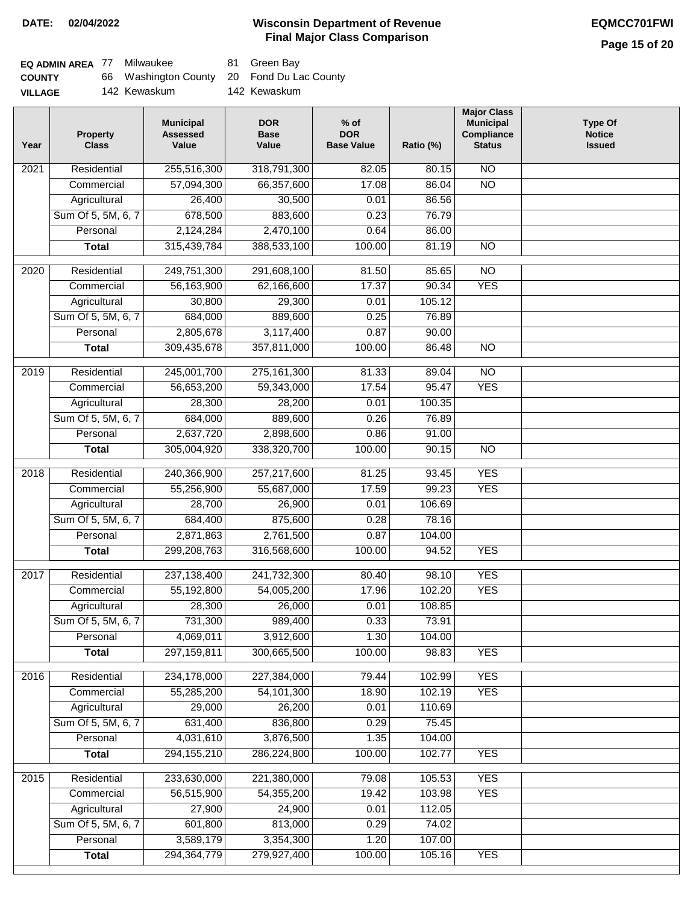| <b>EQ ADMIN AREA 77 Milwaukee</b> |                                            | 81 Green Bay |
|-----------------------------------|--------------------------------------------|--------------|
| <b>COUNTY</b>                     | 66 Washington County 20 Fond Du Lac County |              |
| <b>VILLAGE</b>                    | 142 Kewaskum                               | 142 Kewaskum |

| Year | <b>Property</b><br><b>Class</b> | <b>Municipal</b><br><b>Assessed</b><br>Value | <b>DOR</b><br><b>Base</b><br>Value | $%$ of<br><b>DOR</b><br><b>Base Value</b> | Ratio (%)        | <b>Major Class</b><br><b>Municipal</b><br>Compliance<br><b>Status</b> | <b>Type Of</b><br><b>Notice</b><br><b>Issued</b> |
|------|---------------------------------|----------------------------------------------|------------------------------------|-------------------------------------------|------------------|-----------------------------------------------------------------------|--------------------------------------------------|
| 2021 | Residential                     | 255,516,300                                  | 318,791,300                        | 82.05                                     | 80.15            | N <sub>O</sub>                                                        |                                                  |
|      | Commercial                      | 57,094,300                                   | 66,357,600                         | 17.08                                     | 86.04            | $\overline{NO}$                                                       |                                                  |
|      | Agricultural                    | 26,400                                       | 30,500                             | 0.01                                      | 86.56            |                                                                       |                                                  |
|      | Sum Of 5, 5M, 6, 7              | 678,500                                      | 883,600                            | 0.23                                      | 76.79            |                                                                       |                                                  |
|      | Personal                        | 2,124,284                                    | 2,470,100                          | 0.64                                      | 86.00            |                                                                       |                                                  |
|      | <b>Total</b>                    | 315,439,784                                  | 388,533,100                        | 100.00                                    | 81.19            | $\overline{NO}$                                                       |                                                  |
| 2020 | Residential                     | 249,751,300                                  | 291,608,100                        | 81.50                                     | 85.65            | $\overline{NO}$                                                       |                                                  |
|      | Commercial                      | 56,163,900                                   | 62,166,600                         | 17.37                                     | 90.34            | <b>YES</b>                                                            |                                                  |
|      | Agricultural                    | 30,800                                       | 29,300                             | 0.01                                      | 105.12           |                                                                       |                                                  |
|      | Sum Of 5, 5M, 6, 7              | 684,000                                      | 889,600                            | 0.25                                      | 76.89            |                                                                       |                                                  |
|      | Personal                        | 2,805,678                                    | 3,117,400                          | 0.87                                      | 90.00            |                                                                       |                                                  |
|      | <b>Total</b>                    | 309,435,678                                  | 357,811,000                        | 100.00                                    | 86.48            | $\overline{NO}$                                                       |                                                  |
|      |                                 |                                              |                                    |                                           |                  |                                                                       |                                                  |
| 2019 | Residential                     | 245,001,700                                  | 275, 161, 300                      | 81.33                                     | 89.04            | $\overline{10}$                                                       |                                                  |
|      | Commercial                      | 56,653,200                                   | 59,343,000                         | 17.54                                     | 95.47            | <b>YES</b>                                                            |                                                  |
|      | Agricultural                    | 28,300                                       | 28,200                             | 0.01                                      | 100.35           |                                                                       |                                                  |
|      | Sum Of 5, 5M, 6, 7              | 684,000                                      | 889,600                            | 0.26                                      | 76.89            |                                                                       |                                                  |
|      | Personal                        | 2,637,720                                    | 2,898,600                          | 0.86                                      | 91.00            |                                                                       |                                                  |
|      | <b>Total</b>                    | 305,004,920                                  | 338,320,700                        | 100.00                                    | 90.15            | $\overline{NO}$                                                       |                                                  |
| 2018 | Residential                     | 240,366,900                                  | 257,217,600                        | 81.25                                     | 93.45            | <b>YES</b>                                                            |                                                  |
|      | Commercial                      | 55,256,900                                   | 55,687,000                         | 17.59                                     | 99.23            | <b>YES</b>                                                            |                                                  |
|      | Agricultural                    | 28,700                                       | 26,900                             | 0.01                                      | 106.69           |                                                                       |                                                  |
|      | Sum Of 5, 5M, 6, 7              | 684,400                                      | 875,600                            | 0.28                                      | 78.16            |                                                                       |                                                  |
|      | Personal                        | 2,871,863                                    | 2,761,500                          | 0.87                                      | 104.00           |                                                                       |                                                  |
|      | <b>Total</b>                    | 299,208,763                                  | 316,568,600                        | 100.00                                    | 94.52            | <b>YES</b>                                                            |                                                  |
| 2017 | Residential                     | 237, 138, 400                                | 241,732,300                        | 80.40                                     | 98.10            | <b>YES</b>                                                            |                                                  |
|      | Commercial                      | 55,192,800                                   | 54,005,200                         | 17.96                                     | 102.20           | <b>YES</b>                                                            |                                                  |
|      | Agricultural                    | 28,300                                       | 26,000                             | 0.01                                      | 108.85           |                                                                       |                                                  |
|      | Sum Of 5, 5M, 6, 7              | 731,300                                      | 989,400                            | 0.33                                      | 73.91            |                                                                       |                                                  |
|      | Personal                        | 4,069,011                                    | 3,912,600                          | 1.30                                      | 104.00           |                                                                       |                                                  |
|      | <b>Total</b>                    | 297,159,811                                  | 300,665,500                        | 100.00                                    | 98.83            | <b>YES</b>                                                            |                                                  |
|      |                                 | 234,178,000                                  |                                    |                                           |                  | <b>YES</b>                                                            |                                                  |
| 2016 | Residential<br>Commercial       | 55,285,200                                   | 227,384,000<br>54, 101, 300        | 79.44<br>18.90                            | 102.99<br>102.19 | <b>YES</b>                                                            |                                                  |
|      | Agricultural                    | 29,000                                       | 26,200                             | 0.01                                      | 110.69           |                                                                       |                                                  |
|      | Sum Of 5, 5M, 6, 7              | 631,400                                      | 836,800                            | 0.29                                      | 75.45            |                                                                       |                                                  |
|      | Personal                        | 4,031,610                                    | 3,876,500                          | 1.35                                      | 104.00           |                                                                       |                                                  |
|      | <b>Total</b>                    | 294, 155, 210                                | 286,224,800                        | 100.00                                    | 102.77           | <b>YES</b>                                                            |                                                  |
|      |                                 |                                              |                                    |                                           |                  |                                                                       |                                                  |
| 2015 | Residential                     | 233,630,000                                  | 221,380,000                        | 79.08                                     | 105.53           | <b>YES</b>                                                            |                                                  |
|      | Commercial                      | 56,515,900                                   | 54,355,200                         | 19.42                                     | 103.98           | <b>YES</b>                                                            |                                                  |
|      | Agricultural                    | 27,900                                       | 24,900                             | 0.01                                      | 112.05           |                                                                       |                                                  |
|      | Sum Of 5, 5M, 6, 7              | 601,800                                      | 813,000                            | 0.29                                      | 74.02            |                                                                       |                                                  |
|      | Personal                        | 3,589,179                                    | 3,354,300                          | 1.20                                      | 107.00           |                                                                       |                                                  |
|      | <b>Total</b>                    | 294, 364, 779                                | 279,927,400                        | 100.00                                    | 105.16           | <b>YES</b>                                                            |                                                  |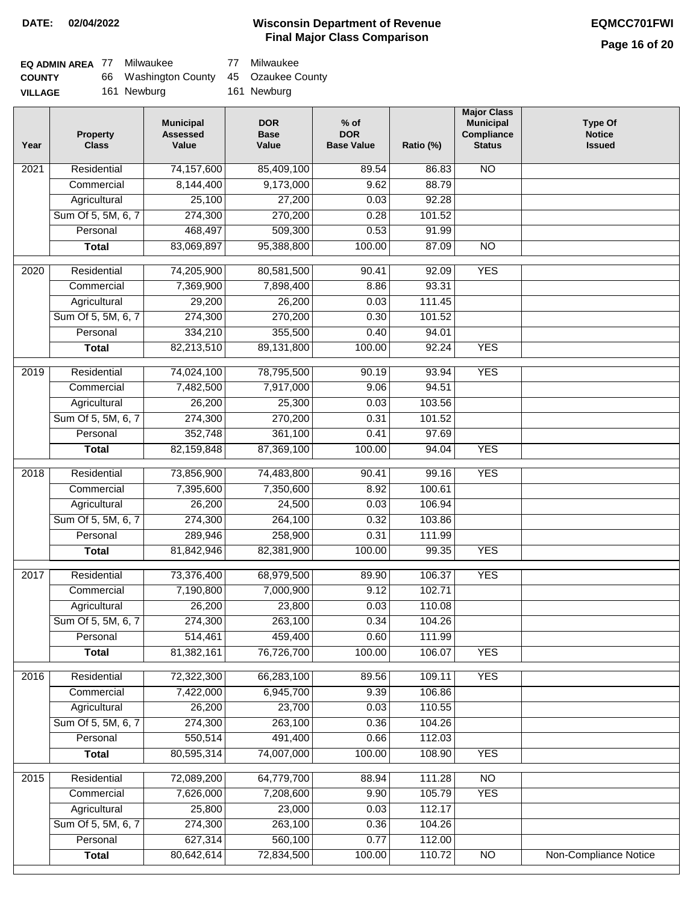# **Page 16 of 20**

| EQ ADMIN AREA 77 | Milwaukee                              | 77 Milwaukee |
|------------------|----------------------------------------|--------------|
| <b>COUNTY</b>    | 66 Washington County 45 Ozaukee County |              |
| <b>VILLAGE</b>   | 161 Newburg                            | 161 Newburg  |

| Year | <b>Property</b><br><b>Class</b> | <b>Municipal</b><br><b>Assessed</b><br>Value | <b>DOR</b><br><b>Base</b><br>Value | $%$ of<br><b>DOR</b><br><b>Base Value</b> | Ratio (%) | <b>Major Class</b><br><b>Municipal</b><br>Compliance<br><b>Status</b> | <b>Type Of</b><br><b>Notice</b><br><b>Issued</b> |
|------|---------------------------------|----------------------------------------------|------------------------------------|-------------------------------------------|-----------|-----------------------------------------------------------------------|--------------------------------------------------|
| 2021 | Residential                     | 74,157,600                                   | 85,409,100                         | 89.54                                     | 86.83     | <b>NO</b>                                                             |                                                  |
|      | Commercial                      | 8,144,400                                    | 9,173,000                          | 9.62                                      | 88.79     |                                                                       |                                                  |
|      | Agricultural                    | 25,100                                       | 27,200                             | 0.03                                      | 92.28     |                                                                       |                                                  |
|      | Sum Of 5, 5M, 6, 7              | 274,300                                      | 270,200                            | 0.28                                      | 101.52    |                                                                       |                                                  |
|      | Personal                        | 468,497                                      | 509,300                            | 0.53                                      | 91.99     |                                                                       |                                                  |
|      | <b>Total</b>                    | 83,069,897                                   | 95,388,800                         | 100.00                                    | 87.09     | $\overline{NO}$                                                       |                                                  |
| 2020 | Residential                     | 74,205,900                                   | 80,581,500                         | 90.41                                     | 92.09     | <b>YES</b>                                                            |                                                  |
|      | Commercial                      | 7,369,900                                    | 7,898,400                          | 8.86                                      | 93.31     |                                                                       |                                                  |
|      | Agricultural                    | 29,200                                       | 26,200                             | 0.03                                      | 111.45    |                                                                       |                                                  |
|      | Sum Of 5, 5M, 6, 7              | 274,300                                      | 270,200                            | 0.30                                      | 101.52    |                                                                       |                                                  |
|      | Personal                        | 334,210                                      | 355,500                            | 0.40                                      | 94.01     |                                                                       |                                                  |
|      | <b>Total</b>                    | 82,213,510                                   | 89,131,800                         | 100.00                                    | 92.24     | <b>YES</b>                                                            |                                                  |
|      |                                 |                                              |                                    |                                           |           |                                                                       |                                                  |
| 2019 | Residential                     | 74,024,100                                   | 78,795,500                         | 90.19                                     | 93.94     | <b>YES</b>                                                            |                                                  |
|      | Commercial                      | 7,482,500                                    | 7,917,000                          | 9.06                                      | 94.51     |                                                                       |                                                  |
|      | Agricultural                    | 26,200                                       | 25,300                             | 0.03                                      | 103.56    |                                                                       |                                                  |
|      | Sum Of 5, 5M, 6, 7              | 274,300                                      | 270,200                            | 0.31                                      | 101.52    |                                                                       |                                                  |
|      | Personal                        | 352,748                                      | 361,100                            | 0.41                                      | 97.69     |                                                                       |                                                  |
|      | <b>Total</b>                    | 82,159,848                                   | 87,369,100                         | 100.00                                    | 94.04     | <b>YES</b>                                                            |                                                  |
| 2018 | Residential                     | 73,856,900                                   | 74,483,800                         | 90.41                                     | 99.16     | <b>YES</b>                                                            |                                                  |
|      | Commercial                      | 7,395,600                                    | 7,350,600                          | 8.92                                      | 100.61    |                                                                       |                                                  |
|      | Agricultural                    | 26,200                                       | 24,500                             | 0.03                                      | 106.94    |                                                                       |                                                  |
|      | Sum Of 5, 5M, 6, 7              | 274,300                                      | 264,100                            | 0.32                                      | 103.86    |                                                                       |                                                  |
|      | Personal                        | 289,946                                      | 258,900                            | 0.31                                      | 111.99    |                                                                       |                                                  |
|      | <b>Total</b>                    | 81,842,946                                   | 82,381,900                         | 100.00                                    | 99.35     | <b>YES</b>                                                            |                                                  |
| 2017 | Residential                     | 73,376,400                                   | 68,979,500                         | 89.90                                     | 106.37    | <b>YES</b>                                                            |                                                  |
|      | Commercial                      | 7,190,800                                    | 7,000,900                          | 9.12                                      | 102.71    |                                                                       |                                                  |
|      | Agricultural                    | 26,200                                       | 23,800                             | 0.03                                      | 110.08    |                                                                       |                                                  |
|      | Sum Of 5, 5M, 6, 7              | 274,300                                      | 263,100                            | 0.34                                      | 104.26    |                                                                       |                                                  |
|      | Personal                        | 514,461                                      | 459,400                            | 0.60                                      | 111.99    |                                                                       |                                                  |
|      | <b>Total</b>                    | 81,382,161                                   | 76,726,700                         | 100.00                                    | 106.07    | <b>YES</b>                                                            |                                                  |
| 2016 | Residential                     | 72,322,300                                   | 66,283,100                         | 89.56                                     | 109.11    | <b>YES</b>                                                            |                                                  |
|      | Commercial                      | 7,422,000                                    | 6,945,700                          | 9.39                                      | 106.86    |                                                                       |                                                  |
|      | Agricultural                    | 26,200                                       | 23,700                             | 0.03                                      | 110.55    |                                                                       |                                                  |
|      | Sum Of 5, 5M, 6, 7              | 274,300                                      | 263,100                            | 0.36                                      | 104.26    |                                                                       |                                                  |
|      | Personal                        | 550,514                                      | 491,400                            | 0.66                                      | 112.03    |                                                                       |                                                  |
|      | <b>Total</b>                    | 80,595,314                                   | 74,007,000                         | 100.00                                    | 108.90    | <b>YES</b>                                                            |                                                  |
| 2015 | Residential                     | 72,089,200                                   | 64,779,700                         | 88.94                                     | 111.28    | N <sub>O</sub>                                                        |                                                  |
|      | Commercial                      | 7,626,000                                    | 7,208,600                          | 9.90                                      | 105.79    | <b>YES</b>                                                            |                                                  |
|      | Agricultural                    | 25,800                                       | 23,000                             | 0.03                                      | 112.17    |                                                                       |                                                  |
|      | Sum Of 5, 5M, 6, 7              | 274,300                                      | 263,100                            | 0.36                                      | 104.26    |                                                                       |                                                  |
|      | Personal                        | 627,314                                      | 560,100                            | 0.77                                      | 112.00    |                                                                       |                                                  |
|      | <b>Total</b>                    | 80,642,614                                   | 72,834,500                         | 100.00                                    | 110.72    | N <sub>O</sub>                                                        | <b>Non-Compliance Notice</b>                     |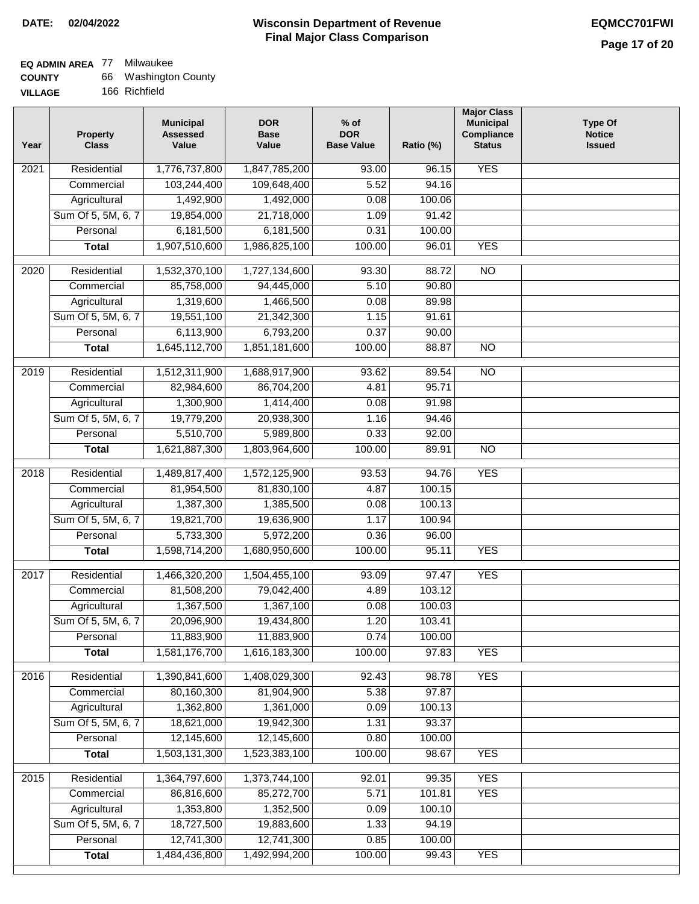### **Wisconsin Department of Revenue Final Major Class Comparison DATE: 02/04/2022 EQMCC701FWI**

┓

### **EQ ADMIN AREA** 77 Milwaukee **COUNTY**

| <b>COUNTY</b>  | 66 Washington County |
|----------------|----------------------|
| <b>VILLAGE</b> | 166 Richfield        |

| Year             | <b>Property</b><br><b>Class</b> | <b>Municipal</b><br><b>Assessed</b><br>Value | <b>DOR</b><br><b>Base</b><br>Value | $%$ of<br><b>DOR</b><br><b>Base Value</b> | Ratio (%) | <b>Major Class</b><br><b>Municipal</b><br>Compliance<br><b>Status</b> | <b>Type Of</b><br><b>Notice</b><br><b>Issued</b> |
|------------------|---------------------------------|----------------------------------------------|------------------------------------|-------------------------------------------|-----------|-----------------------------------------------------------------------|--------------------------------------------------|
| 2021             | Residential                     | 1,776,737,800                                | 1,847,785,200                      | 93.00                                     | 96.15     | <b>YES</b>                                                            |                                                  |
|                  | Commercial                      | 103,244,400                                  | 109,648,400                        | 5.52                                      | 94.16     |                                                                       |                                                  |
|                  | Agricultural                    | 1,492,900                                    | 1,492,000                          | 0.08                                      | 100.06    |                                                                       |                                                  |
|                  | Sum Of 5, 5M, 6, 7              | 19,854,000                                   | 21,718,000                         | 1.09                                      | 91.42     |                                                                       |                                                  |
|                  | Personal                        | 6,181,500                                    | 6,181,500                          | 0.31                                      | 100.00    |                                                                       |                                                  |
|                  | <b>Total</b>                    | 1,907,510,600                                | 1,986,825,100                      | 100.00                                    | 96.01     | <b>YES</b>                                                            |                                                  |
| 2020             | Residential                     | 1,532,370,100                                | 1,727,134,600                      | 93.30                                     | 88.72     | $\overline{NO}$                                                       |                                                  |
|                  | Commercial                      | 85,758,000                                   | 94,445,000                         | 5.10                                      | 90.80     |                                                                       |                                                  |
|                  | Agricultural                    | 1,319,600                                    | 1,466,500                          | 0.08                                      | 89.98     |                                                                       |                                                  |
|                  | Sum Of 5, 5M, 6, 7              | 19,551,100                                   | 21,342,300                         | 1.15                                      | 91.61     |                                                                       |                                                  |
|                  | Personal                        | 6,113,900                                    | 6,793,200                          | 0.37                                      | 90.00     |                                                                       |                                                  |
|                  | <b>Total</b>                    | 1,645,112,700                                | 1,851,181,600                      | 100.00                                    | 88.87     | $\overline{NO}$                                                       |                                                  |
| $\frac{1}{2019}$ | Residential                     | 1,512,311,900                                | 1,688,917,900                      | 93.62                                     | 89.54     | N <sub>O</sub>                                                        |                                                  |
|                  | Commercial                      | 82,984,600                                   | 86,704,200                         | 4.81                                      | 95.71     |                                                                       |                                                  |
|                  | Agricultural                    | 1,300,900                                    | 1,414,400                          | 0.08                                      | 91.98     |                                                                       |                                                  |
|                  | Sum Of 5, 5M, 6, 7              | 19,779,200                                   | 20,938,300                         | 1.16                                      | 94.46     |                                                                       |                                                  |
|                  | Personal                        | 5,510,700                                    | 5,989,800                          | 0.33                                      | 92.00     |                                                                       |                                                  |
|                  | <b>Total</b>                    | 1,621,887,300                                | 1,803,964,600                      | 100.00                                    | 89.91     | $\overline{NO}$                                                       |                                                  |
|                  |                                 |                                              |                                    |                                           |           |                                                                       |                                                  |
| 2018             | Residential                     | 1,489,817,400                                | 1,572,125,900                      | 93.53                                     | 94.76     | <b>YES</b>                                                            |                                                  |
|                  | Commercial                      | 81,954,500                                   | 81,830,100                         | 4.87                                      | 100.15    |                                                                       |                                                  |
|                  | Agricultural                    | 1,387,300                                    | 1,385,500                          | 0.08                                      | 100.13    |                                                                       |                                                  |
|                  | Sum Of 5, 5M, 6, 7              | 19,821,700                                   | 19,636,900                         | 1.17                                      | 100.94    |                                                                       |                                                  |
|                  | Personal                        | 5,733,300                                    | 5,972,200                          | 0.36                                      | 96.00     |                                                                       |                                                  |
|                  | <b>Total</b>                    | 1,598,714,200                                | 1,680,950,600                      | 100.00                                    | 95.11     | <b>YES</b>                                                            |                                                  |
| 2017             | Residential                     | 1,466,320,200                                | 1,504,455,100                      | 93.09                                     | 97.47     | <b>YES</b>                                                            |                                                  |
|                  | Commercial                      | 81,508,200                                   | 79,042,400                         | 4.89                                      | 103.12    |                                                                       |                                                  |
|                  | Agricultural                    | 1,367,500                                    | 1,367,100                          | 0.08                                      | 100.03    |                                                                       |                                                  |
|                  | Sum Of 5, 5M, 6, 7              | 20,096,900                                   | 19,434,800                         | 1.20                                      | 103.41    |                                                                       |                                                  |
|                  | Personal                        | 11,883,900                                   | 11,883,900                         | 0.74                                      | 100.00    |                                                                       |                                                  |
|                  | <b>Total</b>                    | 1,581,176,700                                | 1,616,183,300                      | 100.00                                    | 97.83     | <b>YES</b>                                                            |                                                  |
| 2016             | Residential                     | 1,390,841,600                                | 1,408,029,300                      | 92.43                                     | 98.78     | <b>YES</b>                                                            |                                                  |
|                  | Commercial                      | 80,160,300                                   | 81,904,900                         | 5.38                                      | 97.87     |                                                                       |                                                  |
|                  | Agricultural                    | 1,362,800                                    | 1,361,000                          | 0.09                                      | 100.13    |                                                                       |                                                  |
|                  | Sum Of 5, 5M, 6, 7              | 18,621,000                                   | 19,942,300                         | 1.31                                      | 93.37     |                                                                       |                                                  |
|                  | Personal                        | 12,145,600                                   | 12,145,600                         | 0.80                                      | 100.00    |                                                                       |                                                  |
|                  | <b>Total</b>                    | 1,503,131,300                                | 1,523,383,100                      | 100.00                                    | 98.67     | <b>YES</b>                                                            |                                                  |
| 2015             | Residential                     | 1,364,797,600                                | 1,373,744,100                      | 92.01                                     | 99.35     | <b>YES</b>                                                            |                                                  |
|                  | Commercial                      | 86,816,600                                   | 85,272,700                         | 5.71                                      | 101.81    | <b>YES</b>                                                            |                                                  |
|                  | Agricultural                    | 1,353,800                                    | 1,352,500                          | 0.09                                      | 100.10    |                                                                       |                                                  |
|                  | Sum Of 5, 5M, 6, 7              | 18,727,500                                   | 19,883,600                         | 1.33                                      | 94.19     |                                                                       |                                                  |
|                  | Personal                        | 12,741,300                                   | 12,741,300                         | 0.85                                      | 100.00    |                                                                       |                                                  |
|                  | <b>Total</b>                    | 1,484,436,800                                | 1,492,994,200                      | 100.00                                    | 99.43     | <b>YES</b>                                                            |                                                  |
|                  |                                 |                                              |                                    |                                           |           |                                                                       |                                                  |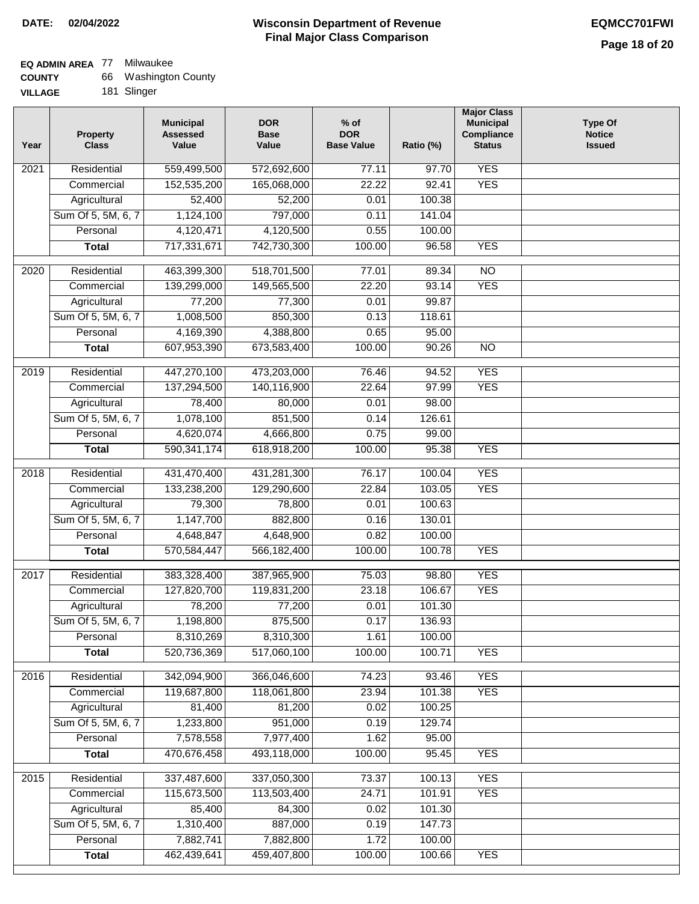# **EQ ADMIN AREA** 77 Milwaukee

| <b>COUNTY</b> | 66 | Washington County |
|---------------|----|-------------------|
|---------------|----|-------------------|

**VILLAGE** 181 Slinger

| Year | <b>Property</b><br><b>Class</b> | <b>Municipal</b><br><b>Assessed</b><br>Value | <b>DOR</b><br><b>Base</b><br>Value | $%$ of<br><b>DOR</b><br><b>Base Value</b> | Ratio (%) | <b>Major Class</b><br><b>Municipal</b><br>Compliance<br><b>Status</b> | <b>Type Of</b><br><b>Notice</b><br><b>Issued</b> |
|------|---------------------------------|----------------------------------------------|------------------------------------|-------------------------------------------|-----------|-----------------------------------------------------------------------|--------------------------------------------------|
| 2021 | Residential                     | 559,499,500                                  | 572,692,600                        | 77.11                                     | 97.70     | <b>YES</b>                                                            |                                                  |
|      | Commercial                      | 152,535,200                                  | 165,068,000                        | 22.22                                     | 92.41     | <b>YES</b>                                                            |                                                  |
|      | Agricultural                    | 52,400                                       | 52,200                             | 0.01                                      | 100.38    |                                                                       |                                                  |
|      | Sum Of 5, 5M, 6, 7              | 1,124,100                                    | 797,000                            | 0.11                                      | 141.04    |                                                                       |                                                  |
|      | Personal                        | 4,120,471                                    | 4,120,500                          | 0.55                                      | 100.00    |                                                                       |                                                  |
|      | <b>Total</b>                    | 717,331,671                                  | 742,730,300                        | 100.00                                    | 96.58     | <b>YES</b>                                                            |                                                  |
| 2020 | Residential                     | 463,399,300                                  | 518,701,500                        | 77.01                                     | 89.34     | $\overline{NO}$                                                       |                                                  |
|      | Commercial                      | 139,299,000                                  | 149,565,500                        | 22.20                                     | 93.14     | <b>YES</b>                                                            |                                                  |
|      | Agricultural                    | 77,200                                       | 77,300                             | 0.01                                      | 99.87     |                                                                       |                                                  |
|      | Sum Of 5, 5M, 6, 7              | 1,008,500                                    | 850,300                            | 0.13                                      | 118.61    |                                                                       |                                                  |
|      | Personal                        | 4,169,390                                    | 4,388,800                          | 0.65                                      | 95.00     |                                                                       |                                                  |
|      | <b>Total</b>                    | 607,953,390                                  | 673,583,400                        | 100.00                                    | 90.26     | $\overline{NO}$                                                       |                                                  |
|      |                                 |                                              |                                    |                                           |           |                                                                       |                                                  |
| 2019 | Residential                     | 447,270,100                                  | 473,203,000                        | 76.46                                     | 94.52     | <b>YES</b>                                                            |                                                  |
|      | Commercial                      | 137,294,500                                  | 140,116,900                        | 22.64                                     | 97.99     | <b>YES</b>                                                            |                                                  |
|      | Agricultural                    | 78,400                                       | 80,000                             | 0.01                                      | 98.00     |                                                                       |                                                  |
|      | Sum Of 5, 5M, 6, 7              | 1,078,100                                    | 851,500                            | 0.14                                      | 126.61    |                                                                       |                                                  |
|      | Personal                        | 4,620,074                                    | 4,666,800                          | 0.75                                      | 99.00     |                                                                       |                                                  |
|      | <b>Total</b>                    | 590, 341, 174                                | 618,918,200                        | 100.00                                    | 95.38     | <b>YES</b>                                                            |                                                  |
| 2018 | Residential                     | 431,470,400                                  | 431,281,300                        | 76.17                                     | 100.04    | <b>YES</b>                                                            |                                                  |
|      | Commercial                      | 133,238,200                                  | 129,290,600                        | 22.84                                     | 103.05    | <b>YES</b>                                                            |                                                  |
|      | Agricultural                    | 79,300                                       | 78,800                             | 0.01                                      | 100.63    |                                                                       |                                                  |
|      | Sum Of 5, 5M, 6, 7              | 1,147,700                                    | 882,800                            | 0.16                                      | 130.01    |                                                                       |                                                  |
|      | Personal                        | 4,648,847                                    | 4,648,900                          | 0.82                                      | 100.00    |                                                                       |                                                  |
|      | <b>Total</b>                    | 570,584,447                                  | 566,182,400                        | 100.00                                    | 100.78    | <b>YES</b>                                                            |                                                  |
| 2017 | Residential                     | 383,328,400                                  | 387,965,900                        | 75.03                                     | 98.80     | <b>YES</b>                                                            |                                                  |
|      | Commercial                      | 127,820,700                                  | 119,831,200                        | 23.18                                     | 106.67    | <b>YES</b>                                                            |                                                  |
|      | Agricultural                    | 78,200                                       | 77,200                             | 0.01                                      | 101.30    |                                                                       |                                                  |
|      | Sum Of 5, 5M, 6, 7              | 1,198,800                                    | 875,500                            | 0.17                                      | 136.93    |                                                                       |                                                  |
|      | Personal                        | 8,310,269                                    | 8,310,300                          | 1.61                                      | 100.00    |                                                                       |                                                  |
|      | <b>Total</b>                    | 520,736,369                                  | 517,060,100                        | 100.00                                    | 100.71    | <b>YES</b>                                                            |                                                  |
| 2016 | Residential                     | 342,094,900                                  | 366,046,600                        | 74.23                                     | 93.46     | <b>YES</b>                                                            |                                                  |
|      | Commercial                      | 119,687,800                                  | 118,061,800                        | 23.94                                     | 101.38    | <b>YES</b>                                                            |                                                  |
|      | Agricultural                    | 81,400                                       | 81,200                             | 0.02                                      | 100.25    |                                                                       |                                                  |
|      | Sum Of 5, 5M, 6, 7              | 1,233,800                                    | 951,000                            | 0.19                                      | 129.74    |                                                                       |                                                  |
|      | Personal                        | 7,578,558                                    | 7,977,400                          | 1.62                                      | 95.00     |                                                                       |                                                  |
|      | <b>Total</b>                    | 470,676,458                                  | 493,118,000                        | 100.00                                    | 95.45     | <b>YES</b>                                                            |                                                  |
| 2015 | Residential                     | 337,487,600                                  | 337,050,300                        | 73.37                                     | 100.13    | <b>YES</b>                                                            |                                                  |
|      | Commercial                      | 115,673,500                                  | 113,503,400                        | 24.71                                     | 101.91    | <b>YES</b>                                                            |                                                  |
|      | Agricultural                    | 85,400                                       | 84,300                             | 0.02                                      | 101.30    |                                                                       |                                                  |
|      | Sum Of 5, 5M, 6, 7              | 1,310,400                                    | 887,000                            | 0.19                                      | 147.73    |                                                                       |                                                  |
|      | Personal                        | 7,882,741                                    | 7,882,800                          | 1.72                                      | 100.00    |                                                                       |                                                  |
|      | <b>Total</b>                    | 462,439,641                                  | 459,407,800                        | 100.00                                    | 100.66    | <b>YES</b>                                                            |                                                  |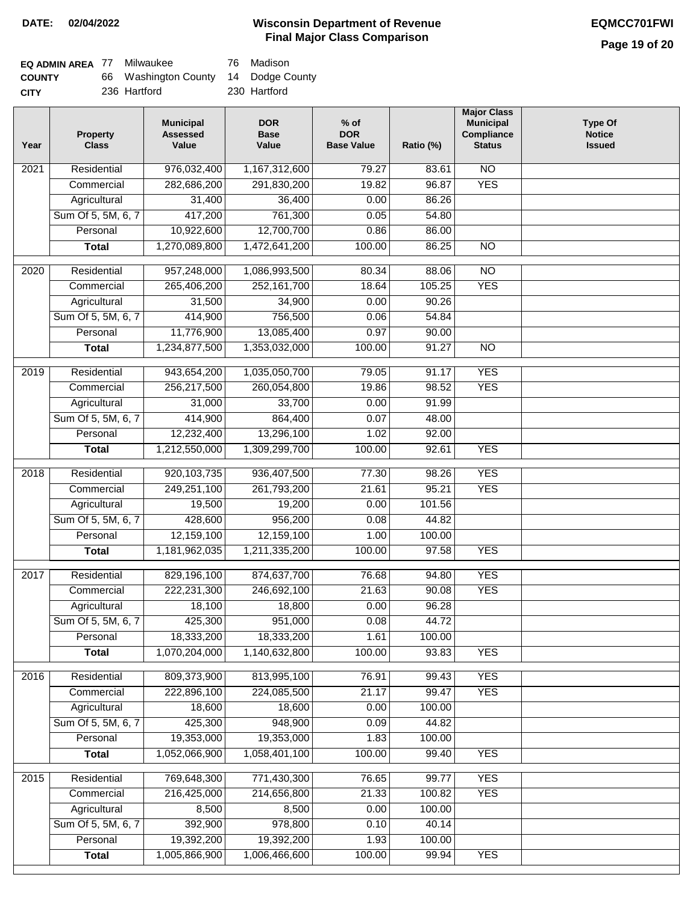# **Page 19 of 20**

| <b>EQ ADMIN AREA 77 Milwaukee</b> |                                      | 76 Madison   |
|-----------------------------------|--------------------------------------|--------------|
| <b>COUNTY</b>                     | 66 Washington County 14 Dodge County |              |
| <b>CITY</b>                       | 236 Hartford                         | 230 Hartford |

| Year | <b>Property</b><br><b>Class</b> | <b>Municipal</b><br><b>Assessed</b><br>Value | <b>DOR</b><br><b>Base</b><br>Value | $%$ of<br><b>DOR</b><br><b>Base Value</b> | Ratio (%)       | <b>Major Class</b><br><b>Municipal</b><br>Compliance<br><b>Status</b> | <b>Type Of</b><br><b>Notice</b><br><b>Issued</b> |
|------|---------------------------------|----------------------------------------------|------------------------------------|-------------------------------------------|-----------------|-----------------------------------------------------------------------|--------------------------------------------------|
| 2021 | Residential                     | 976,032,400                                  | 1,167,312,600                      | 79.27                                     | 83.61           | $\overline{NO}$                                                       |                                                  |
|      | Commercial                      | 282,686,200                                  | 291,830,200                        | 19.82                                     | 96.87           | <b>YES</b>                                                            |                                                  |
|      | Agricultural                    | 31,400                                       | 36,400                             | 0.00                                      | 86.26           |                                                                       |                                                  |
|      | Sum Of 5, 5M, 6, 7              | 417,200                                      | 761,300                            | 0.05                                      | 54.80           |                                                                       |                                                  |
|      | Personal                        | 10,922,600                                   | 12,700,700                         | 0.86                                      | 86.00           |                                                                       |                                                  |
|      | <b>Total</b>                    | 1,270,089,800                                | 1,472,641,200                      | 100.00                                    | 86.25           | $\overline{NO}$                                                       |                                                  |
| 2020 | Residential                     | 957,248,000                                  | 1,086,993,500                      | 80.34                                     | 88.06           | $\overline{NO}$                                                       |                                                  |
|      | Commercial                      | 265,406,200                                  | 252,161,700                        | 18.64                                     | 105.25          | <b>YES</b>                                                            |                                                  |
|      | Agricultural                    | 31,500                                       | 34,900                             | 0.00                                      | 90.26           |                                                                       |                                                  |
|      | Sum Of 5, 5M, 6, 7              | 414,900                                      | 756,500                            | 0.06                                      | 54.84           |                                                                       |                                                  |
|      | Personal                        | 11,776,900                                   | 13,085,400                         | 0.97                                      | 90.00           |                                                                       |                                                  |
|      | <b>Total</b>                    | 1,234,877,500                                | 1,353,032,000                      | 100.00                                    | 91.27           | $\overline{NO}$                                                       |                                                  |
|      |                                 |                                              |                                    |                                           |                 |                                                                       |                                                  |
| 2019 | Residential                     | 943,654,200                                  | 1,035,050,700                      | 79.05                                     | 91.17           | <b>YES</b>                                                            |                                                  |
|      | Commercial                      | 256,217,500                                  | 260,054,800                        | 19.86                                     | 98.52           | <b>YES</b>                                                            |                                                  |
|      | Agricultural                    | 31,000                                       | 33,700                             | 0.00                                      | 91.99           |                                                                       |                                                  |
|      | Sum Of 5, 5M, 6, 7              | 414,900                                      | 864,400                            | 0.07                                      | 48.00           |                                                                       |                                                  |
|      | Personal                        | 12,232,400                                   | 13,296,100                         | 1.02                                      | 92.00           |                                                                       |                                                  |
|      | <b>Total</b>                    | 1,212,550,000                                | 1,309,299,700                      | 100.00                                    | 92.61           | <b>YES</b>                                                            |                                                  |
| 2018 | Residential                     | 920, 103, 735                                | 936,407,500                        | 77.30                                     | 98.26           | <b>YES</b>                                                            |                                                  |
|      | Commercial                      | 249,251,100                                  | 261,793,200                        | 21.61                                     | 95.21           | <b>YES</b>                                                            |                                                  |
|      | Agricultural                    | 19,500                                       | 19,200                             | 0.00                                      | 101.56          |                                                                       |                                                  |
|      | Sum Of 5, 5M, 6, 7              | 428,600                                      | 956,200                            | 0.08                                      | 44.82           |                                                                       |                                                  |
|      | Personal                        | 12,159,100                                   | 12,159,100                         | 1.00                                      | 100.00          |                                                                       |                                                  |
|      | <b>Total</b>                    | 1,181,962,035                                | 1,211,335,200                      | 100.00                                    | 97.58           | <b>YES</b>                                                            |                                                  |
|      |                                 |                                              |                                    |                                           |                 |                                                                       |                                                  |
| 2017 | Residential                     | 829,196,100                                  | 874,637,700                        | 76.68                                     | 94.80           | <b>YES</b>                                                            |                                                  |
|      | Commercial                      | 222,231,300                                  | 246,692,100                        | 21.63                                     | 90.08           | <b>YES</b>                                                            |                                                  |
|      | Agricultural                    | 18,100                                       | 18,800                             | 0.00                                      | 96.28           |                                                                       |                                                  |
|      | Sum Of 5, 5M, 6, 7              | 425,300                                      | 951,000                            | 0.08                                      | 44.72           |                                                                       |                                                  |
|      | Personal                        | 18,333,200<br>1,070,204,000                  | 18,333,200<br>1,140,632,800        | 1.61<br>100.00                            | 100.00<br>93.83 | <b>YES</b>                                                            |                                                  |
|      | <b>Total</b>                    |                                              |                                    |                                           |                 |                                                                       |                                                  |
| 2016 | Residential                     | 809,373,900                                  | 813,995,100                        | 76.91                                     | 99.43           | <b>YES</b>                                                            |                                                  |
|      | Commercial                      | 222,896,100                                  | 224,085,500                        | 21.17                                     | 99.47           | <b>YES</b>                                                            |                                                  |
|      | Agricultural                    | 18,600                                       | 18,600                             | 0.00                                      | 100.00          |                                                                       |                                                  |
|      | Sum Of 5, 5M, 6, 7              | 425,300                                      | 948,900                            | 0.09                                      | 44.82           |                                                                       |                                                  |
|      | Personal                        | 19,353,000                                   | 19,353,000                         | 1.83                                      | 100.00          |                                                                       |                                                  |
|      | <b>Total</b>                    | 1,052,066,900                                | 1,058,401,100                      | 100.00                                    | 99.40           | <b>YES</b>                                                            |                                                  |
| 2015 | Residential                     | 769,648,300                                  | 771,430,300                        | 76.65                                     | 99.77           | <b>YES</b>                                                            |                                                  |
|      | Commercial                      | 216,425,000                                  | 214,656,800                        | 21.33                                     | 100.82          | <b>YES</b>                                                            |                                                  |
|      | Agricultural                    | 8,500                                        | 8,500                              | 0.00                                      | 100.00          |                                                                       |                                                  |
|      | Sum Of 5, 5M, 6, 7              | 392,900                                      | 978,800                            | 0.10                                      | 40.14           |                                                                       |                                                  |
|      | Personal                        | 19,392,200                                   | 19,392,200                         | 1.93                                      | 100.00          |                                                                       |                                                  |
|      | <b>Total</b>                    | 1,005,866,900                                | 1,006,466,600                      | 100.00                                    | 99.94           | <b>YES</b>                                                            |                                                  |
|      |                                 |                                              |                                    |                                           |                 |                                                                       |                                                  |